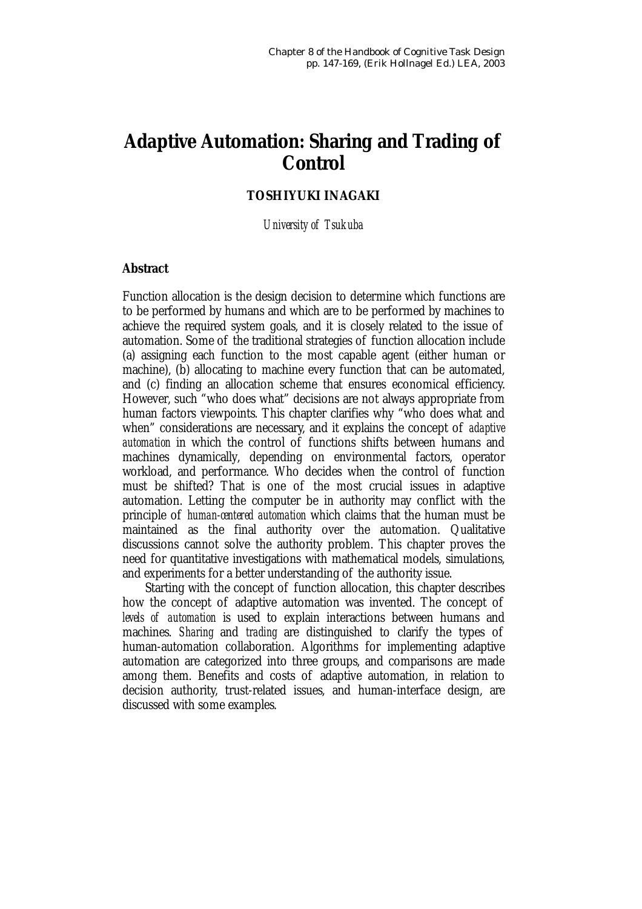# **Adaptive Automation: Sharing and Trading of Control**

# **TOSHIYUKI INAGAKI**

*University of Tsukuba*

# **Abstract**

Function allocation is the design decision to determine which functions are to be performed by humans and which are to be performed by machines to achieve the required system goals, and it is closely related to the issue of automation. Some of the traditional strategies of function allocation include (a) assigning each function to the most capable agent (either human or machine), (b) allocating to machine every function that can be automated, and (c) finding an allocation scheme that ensures economical efficiency. However, such "who does what" decisions are not always appropriate from human factors viewpoints. This chapter clarifies why "who does what and when" considerations are necessary, and it explains the concept of *adaptive automation* in which the control of functions shifts between humans and machines dynamically, depending on environmental factors, operator workload, and performance. Who decides when the control of function must be shifted? That is one of the most crucial issues in adaptive automation. Letting the computer be in authority may conflict with the principle of *human-centered automation* which claims that the human must be maintained as the final authority over the automation. Qualitative discussions cannot solve the authority problem. This chapter proves the need for quantitative investigations with mathematical models, simulations, and experiments for a better understanding of the authority issue.

Starting with the concept of function allocation, this chapter describes how the concept of adaptive automation was invented. The concept of *levels of automation* is used to explain interactions between humans and machines. *Sharing* and *trading* are distinguished to clarify the types of human-automation collaboration. Algorithms for implementing adaptive automation are categorized into three groups, and comparisons are made among them. Benefits and costs of adaptive automation, in relation to decision authority, trust-related issues, and human-interface design, are discussed with some examples.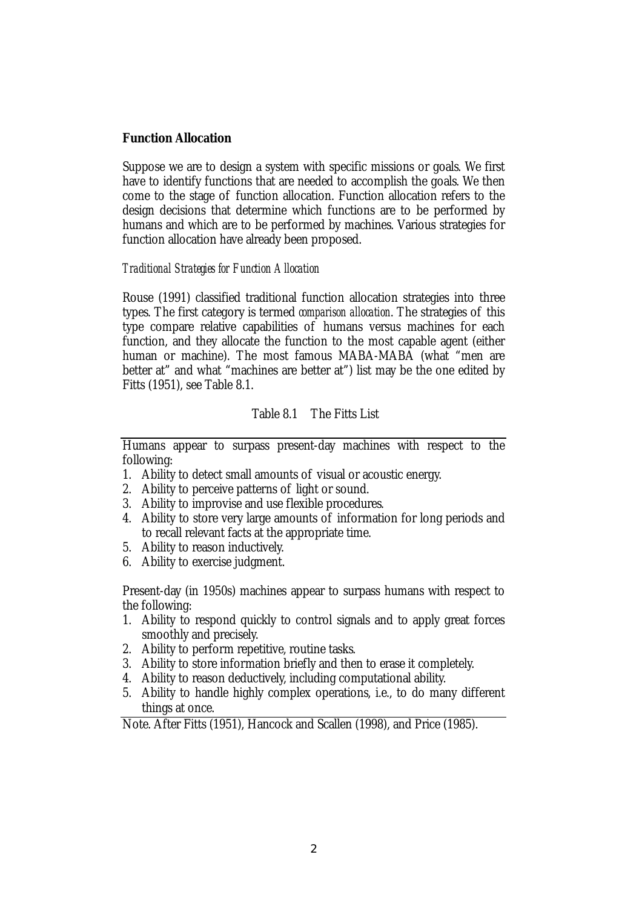# **Function Allocation**

Suppose we are to design a system with specific missions or goals. We first have to identify functions that are needed to accomplish the goals. We then come to the stage of function allocation. Function allocation refers to the design decisions that determine which functions are to be performed by humans and which are to be performed by machines. Various strategies for function allocation have already been proposed.

# *Traditional Strategies for Function Allocation*

Rouse (1991) classified traditional function allocation strategies into three types. The first category is termed *comparison allocation*. The strategies of this type compare relative capabilities of humans versus machines for each function, and they allocate the function to the most capable agent (either human or machine). The most famous MABA-MABA (what "men are better at" and what "machines are better at") list may be the one edited by Fitts (1951), see Table 8.1.

# Table 8.1 The Fitts List

Humans appear to surpass present-day machines with respect to the following:

- 1. Ability to detect small amounts of visual or acoustic energy.
- 2. Ability to perceive patterns of light or sound.
- 3. Ability to improvise and use flexible procedures.
- 4. Ability to store very large amounts of information for long periods and to recall relevant facts at the appropriate time.
- 5. Ability to reason inductively.
- 6. Ability to exercise judgment.

Present-day (in 1950s) machines appear to surpass humans with respect to the following:

- 1. Ability to respond quickly to control signals and to apply great forces smoothly and precisely.
- 2. Ability to perform repetitive, routine tasks.
- 3. Ability to store information briefly and then to erase it completely.
- 4. Ability to reason deductively, including computational ability.
- 5. Ability to handle highly complex operations, i.e., to do many different things at once.

Note. After Fitts (1951), Hancock and Scallen (1998), and Price (1985).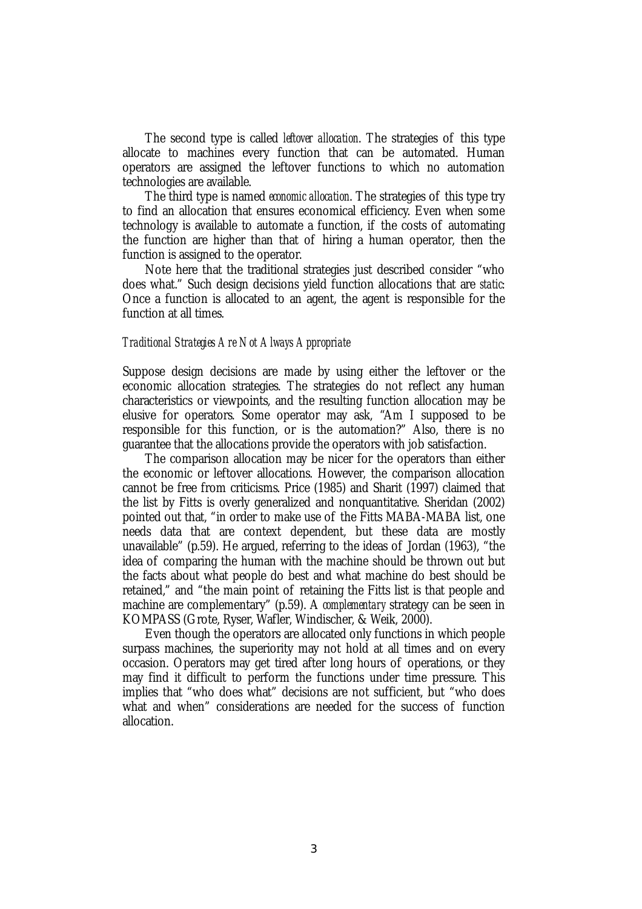The second type is called *leftover allocation*. The strategies of this type allocate to machines every function that can be automated. Human operators are assigned the leftover functions to which no automation technologies are available.

The third type is named *economic allocation*. The strategies of this type try to find an allocation that ensures economical efficiency. Even when some technology is available to automate a function, if the costs of automating the function are higher than that of hiring a human operator, then the function is assigned to the operator.

Note here that the traditional strategies just described consider "who does what." Such design decisions yield function allocations that are *static*: Once a function is allocated to an agent, the agent is responsible for the function at all times.

#### *Traditional Strategies Are Not Always Appropriate*

Suppose design decisions are made by using either the leftover or the economic allocation strategies. The strategies do not reflect any human characteristics or viewpoints, and the resulting function allocation may be elusive for operators. Some operator may ask, "Am I supposed to be responsible for this function, or is the automation?" Also, there is no guarantee that the allocations provide the operators with job satisfaction.

The comparison allocation may be nicer for the operators than either the economic or leftover allocations. However, the comparison allocation cannot be free from criticisms. Price (1985) and Sharit (1997) claimed that the list by Fitts is overly generalized and nonquantitative. Sheridan (2002) pointed out that, "in order to make use of the Fitts MABA-MABA list, one needs data that are context dependent, but these data are mostly unavailable" (p.59). He argued, referring to the ideas of Jordan (1963), "the idea of comparing the human with the machine should be thrown out but the facts about what people do best and what machine do best should be retained," and "the main point of retaining the Fitts list is that people and machine are complementary" (p.59). A *complementary* strategy can be seen in KOMPASS (Grote, Ryser, Wafler, Windischer, & Weik, 2000).

Even though the operators are allocated only functions in which people surpass machines, the superiority may not hold at all times and on every occasion. Operators may get tired after long hours of operations, or they may find it difficult to perform the functions under time pressure. This implies that "who does what" decisions are not sufficient, but "who does what and when" considerations are needed for the success of function allocation.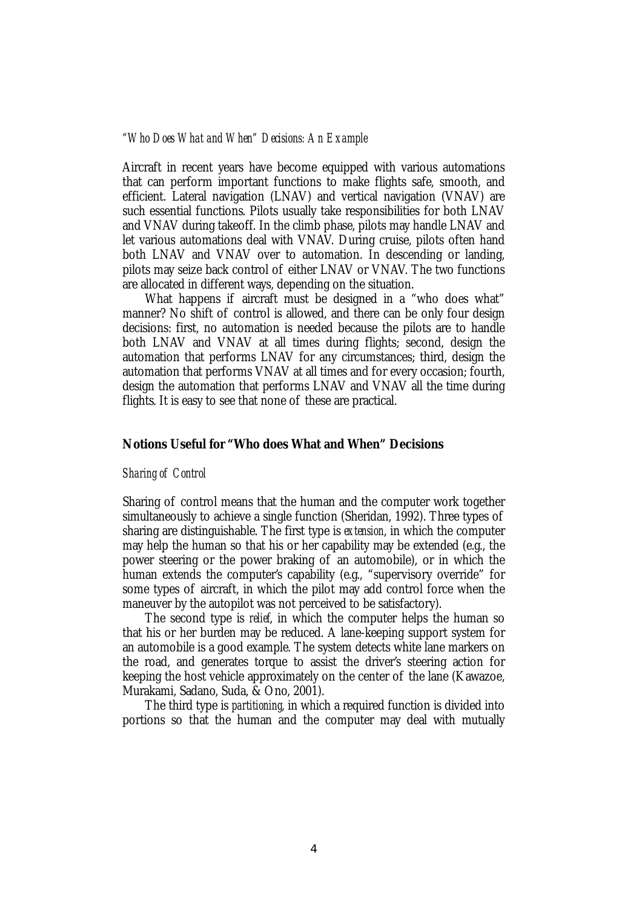Aircraft in recent years have become equipped with various automations that can perform important functions to make flights safe, smooth, and efficient. Lateral navigation (LNAV) and vertical navigation (VNAV) are such essential functions. Pilots usually take responsibilities for both LNAV and VNAV during takeoff. In the climb phase, pilots may handle LNAV and let various automations deal with VNAV. During cruise, pilots often hand both LNAV and VNAV over to automation. In descending or landing, pilots may seize back control of either LNAV or VNAV. The two functions are allocated in different ways, depending on the situation.

What happens if aircraft must be designed in a "who does what" manner? No shift of control is allowed, and there can be only four design decisions: first, no automation is needed because the pilots are to handle both LNAV and VNAV at all times during flights; second, design the automation that performs LNAV for any circumstances; third, design the automation that performs VNAV at all times and for every occasion; fourth, design the automation that performs LNAV and VNAV all the time during flights. It is easy to see that none of these are practical.

# **Notions Useful for "Who does What and When" Decisions**

#### *Sharing of Control*

Sharing of control means that the human and the computer work together simultaneously to achieve a single function (Sheridan, 1992). Three types of sharing are distinguishable. The first type is *extension*, in which the computer may help the human so that his or her capability may be extended (e.g., the power steering or the power braking of an automobile), or in which the human extends the computer's capability (e.g., "supervisory override" for some types of aircraft, in which the pilot may add control force when the maneuver by the autopilot was not perceived to be satisfactory).

The second type is *relief*, in which the computer helps the human so that his or her burden may be reduced. A lane-keeping support system for an automobile is a good example. The system detects white lane markers on the road, and generates torque to assist the driver's steering action for keeping the host vehicle approximately on the center of the lane (Kawazoe, Murakami, Sadano, Suda, & Ono, 2001).

The third type is *partitioning*, in which a required function is divided into portions so that the human and the computer may deal with mutually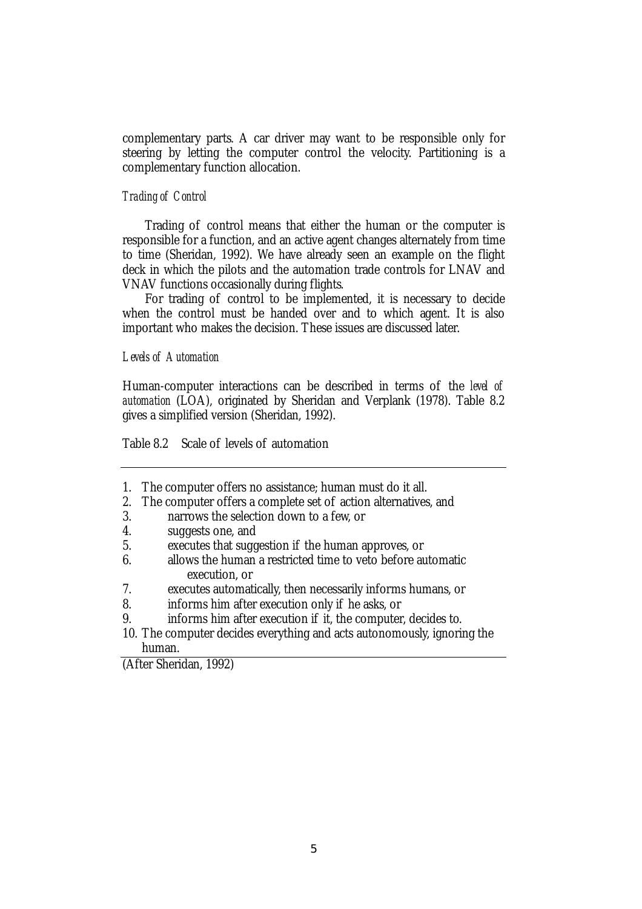complementary parts. A car driver may want to be responsible only for steering by letting the computer control the velocity. Partitioning is a complementary function allocation.

# *Trading of Control*

Trading of control means that either the human or the computer is responsible for a function, and an active agent changes alternately from time to time (Sheridan, 1992). We have already seen an example on the flight deck in which the pilots and the automation trade controls for LNAV and VNAV functions occasionally during flights.

For trading of control to be implemented, it is necessary to decide when the control must be handed over and to which agent. It is also important who makes the decision. These issues are discussed later.

## *Levels of Automation*

Human-computer interactions can be described in terms of the *level of automation* (LOA), originated by Sheridan and Verplank (1978). Table 8.2 gives a simplified version (Sheridan, 1992).

Table 8.2 Scale of levels of automation

- 1. The computer offers no assistance; human must do it all.
- 2. The computer offers a complete set of action alternatives, and
- 3. narrows the selection down to a few, or
- 4. suggests one, and
- 5. executes that suggestion if the human approves, or
- 6. allows the human a restricted time to veto before automatic execution, or
- 7. executes automatically, then necessarily informs humans, or
- 8. informs him after execution only if he asks, or
- 9. informs him after execution if it, the computer, decides to.
- 10. The computer decides everything and acts autonomously, ignoring the human.

(After Sheridan, 1992)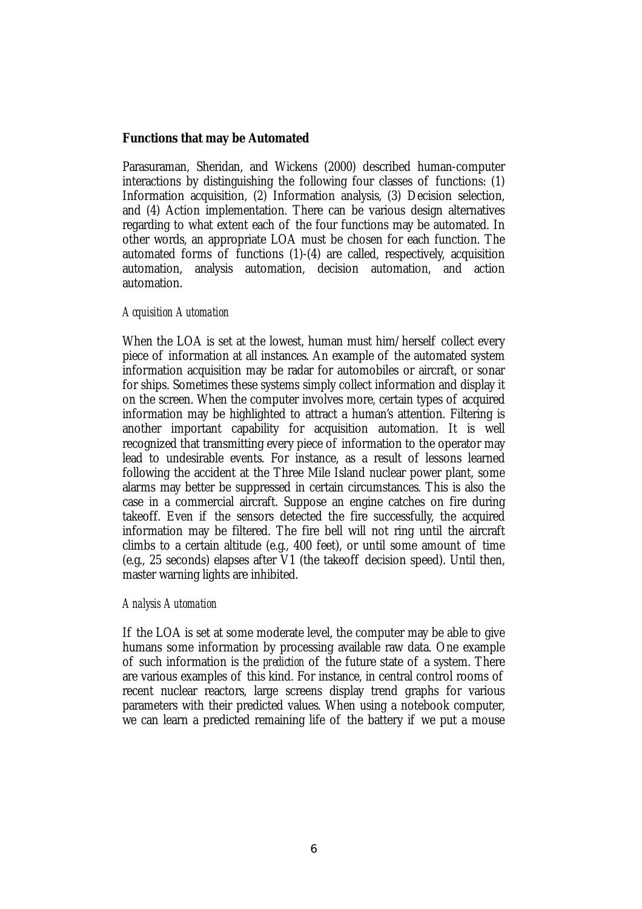# **Functions that may be Automated**

Parasuraman, Sheridan, and Wickens (2000) described human-computer interactions by distinguishing the following four classes of functions: (1) Information acquisition, (2) Information analysis, (3) Decision selection, and (4) Action implementation. There can be various design alternatives regarding to what extent each of the four functions may be automated. In other words, an appropriate LOA must be chosen for each function. The automated forms of functions (1)-(4) are called, respectively, acquisition automation, analysis automation, decision automation, and action automation.

## *Acquisition Automation*

When the LOA is set at the lowest, human must him/herself collect every piece of information at all instances. An example of the automated system information acquisition may be radar for automobiles or aircraft, or sonar for ships. Sometimes these systems simply collect information and display it on the screen. When the computer involves more, certain types of acquired information may be highlighted to attract a human's attention. Filtering is another important capability for acquisition automation. It is well recognized that transmitting every piece of information to the operator may lead to undesirable events. For instance, as a result of lessons learned following the accident at the Three Mile Island nuclear power plant, some alarms may better be suppressed in certain circumstances. This is also the case in a commercial aircraft. Suppose an engine catches on fire during takeoff. Even if the sensors detected the fire successfully, the acquired information may be filtered. The fire bell will not ring until the aircraft climbs to a certain altitude (e.g., 400 feet), or until some amount of time (e.g., 25 seconds) elapses after V1 (the takeoff decision speed). Until then, master warning lights are inhibited.

## *Analysis Automation*

If the LOA is set at some moderate level, the computer may be able to give humans some information by processing available raw data. One example of such information is the *prediction* of the future state of a system. There are various examples of this kind. For instance, in central control rooms of recent nuclear reactors, large screens display trend graphs for various parameters with their predicted values. When using a notebook computer, we can learn a predicted remaining life of the battery if we put a mouse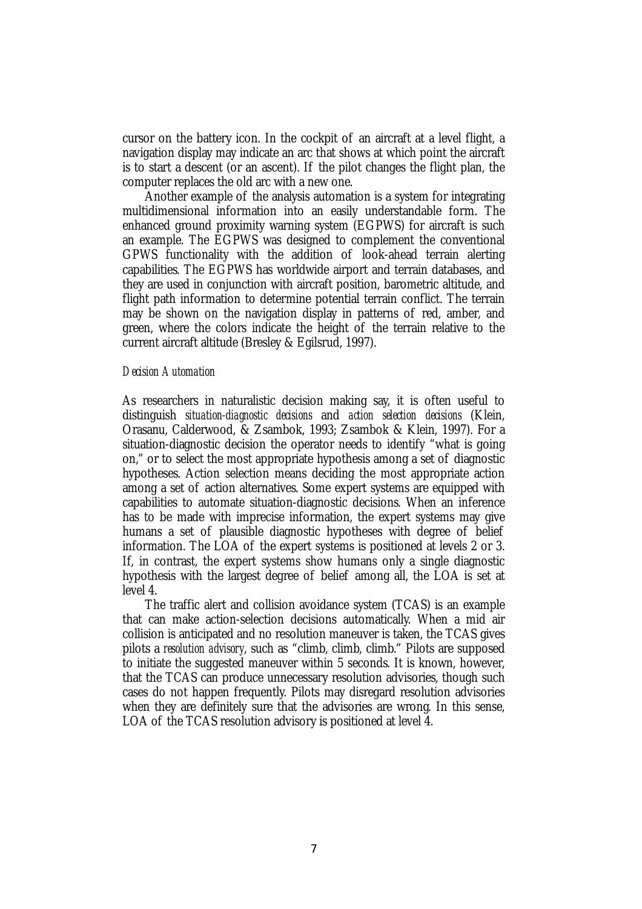cursor on the battery icon. In the cockpit of an aircraft at a level flight, a navigation display may indicate an arc that shows at which point the aircraft is to start a descent (or an ascent). If the pilot changes the flight plan, the computer replaces the old arc with a new one.

Another example of the analysis automation is a system for integrating multidimensional information into an easily understandable form. The enhanced ground proximity warning system (EGPWS) for aircraft is such an example. The EGPWS was designed to complement the conventional GPWS functionality with the addition of look-ahead terrain alerting capabilities. The EGPWS has worldwide airport and terrain databases, and they are used in conjunction with aircraft position, barometric altitude, and flight path information to determine potential terrain conflict. The terrain may be shown on the navigation display in patterns of red, amber, and green, where the colors indicate the height of the terrain relative to the current aircraft altitude (Bresley & Egilsrud, 1997).

#### *Decision Automation*

As researchers in naturalistic decision making say, it is often useful to distinguish *situation-diagnostic decisions* and *action selection decisions* (Klein, Orasanu, Calderwood, & Zsambok, 1993; Zsambok & Klein, 1997). For a situation-diagnostic decision the operator needs to identify "what is going on," or to select the most appropriate hypothesis among a set of diagnostic hypotheses. Action selection means deciding the most appropriate action among a set of action alternatives. Some expert systems are equipped with capabilities to automate situation-diagnostic decisions. When an inference has to be made with imprecise information, the expert systems may give humans a set of plausible diagnostic hypotheses with degree of belief information. The LOA of the expert systems is positioned at levels 2 or 3. If, in contrast, the expert systems show humans only a single diagnostic hypothesis with the largest degree of belief among all, the LOA is set at level 4.

The traffic alert and collision avoidance system (TCAS) is an example that can make action-selection decisions automatically. When a mid air collision is anticipated and no resolution maneuver is taken, the TCAS gives pilots a *resolution advisory*, such as "climb, climb, climb." Pilots are supposed to initiate the suggested maneuver within 5 seconds. It is known, however, that the TCAS can produce unnecessary resolution advisories, though such cases do not happen frequently. Pilots may disregard resolution advisories when they are definitely sure that the advisories are wrong. In this sense, LOA of the TCAS resolution advisory is positioned at level 4.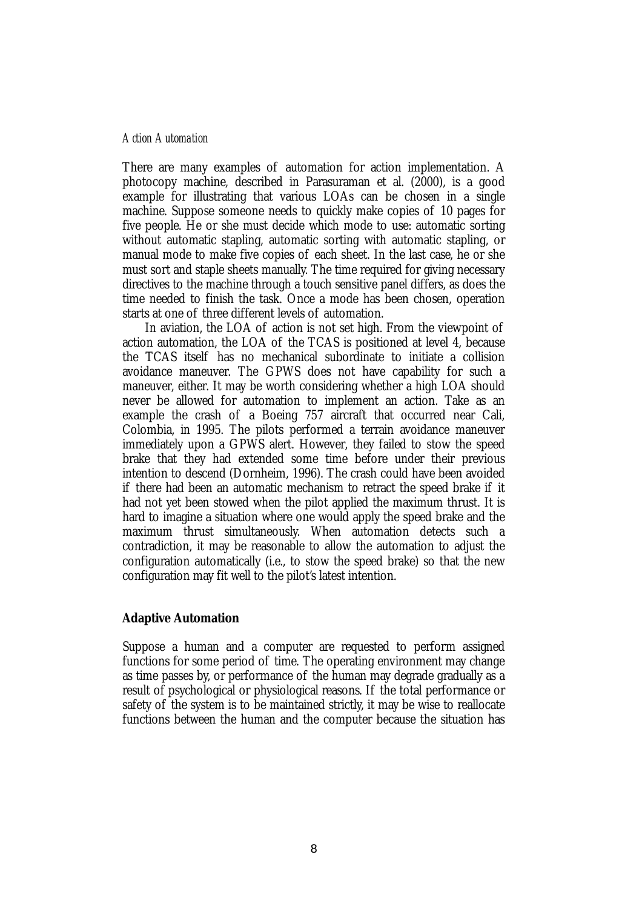### *Action Automation*

There are many examples of automation for action implementation. A photocopy machine, described in Parasuraman et al. (2000), is a good example for illustrating that various LOAs can be chosen in a single machine. Suppose someone needs to quickly make copies of 10 pages for five people. He or she must decide which mode to use: automatic sorting without automatic stapling, automatic sorting with automatic stapling, or manual mode to make five copies of each sheet. In the last case, he or she must sort and staple sheets manually. The time required for giving necessary directives to the machine through a touch sensitive panel differs, as does the time needed to finish the task. Once a mode has been chosen, operation starts at one of three different levels of automation.

In aviation, the LOA of action is not set high. From the viewpoint of action automation, the LOA of the TCAS is positioned at level 4, because the TCAS itself has no mechanical subordinate to initiate a collision avoidance maneuver. The GPWS does not have capability for such a maneuver, either. It may be worth considering whether a high LOA should never be allowed for automation to implement an action. Take as an example the crash of a Boeing 757 aircraft that occurred near Cali, Colombia, in 1995. The pilots performed a terrain avoidance maneuver immediately upon a GPWS alert. However, they failed to stow the speed brake that they had extended some time before under their previous intention to descend (Dornheim, 1996). The crash could have been avoided if there had been an automatic mechanism to retract the speed brake if it had not yet been stowed when the pilot applied the maximum thrust. It is hard to imagine a situation where one would apply the speed brake and the maximum thrust simultaneously. When automation detects such a contradiction, it may be reasonable to allow the automation to adjust the configuration automatically (i.e., to stow the speed brake) so that the new configuration may fit well to the pilot's latest intention.

## **Adaptive Automation**

Suppose a human and a computer are requested to perform assigned functions for some period of time. The operating environment may change as time passes by, or performance of the human may degrade gradually as a result of psychological or physiological reasons. If the total performance or safety of the system is to be maintained strictly, it may be wise to reallocate functions between the human and the computer because the situation has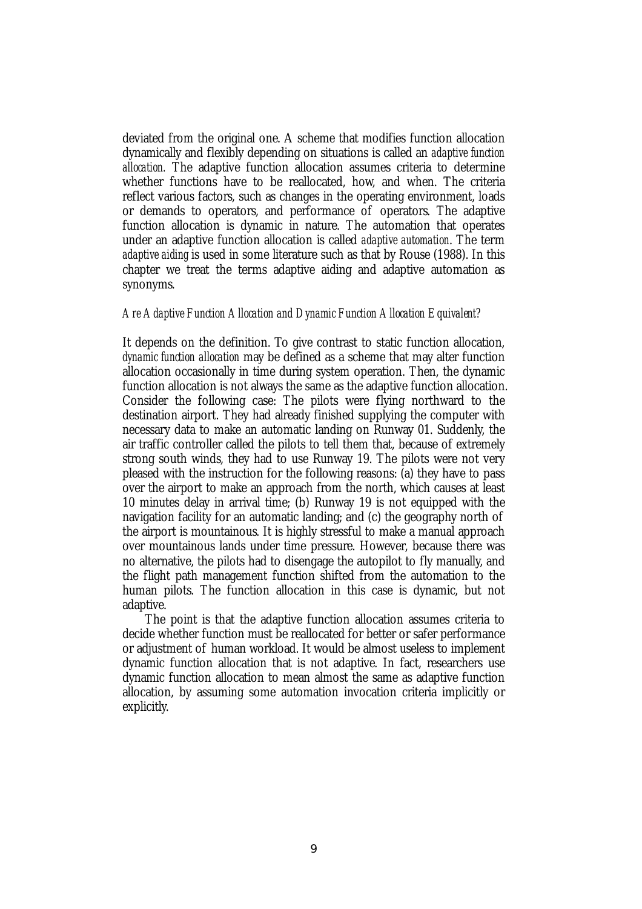deviated from the original one. A scheme that modifies function allocation dynamically and flexibly depending on situations is called an *adaptive function allocation.* The adaptive function allocation assumes criteria to determine whether functions have to be reallocated, how, and when. The criteria reflect various factors, such as changes in the operating environment, loads or demands to operators, and performance of operators. The adaptive function allocation is dynamic in nature. The automation that operates under an adaptive function allocation is called *adaptive automation*. The term *adaptive aiding* is used in some literature such as that by Rouse (1988). In this chapter we treat the terms adaptive aiding and adaptive automation as synonyms.

## *Are Adaptive Function Allocation and Dynamic Function Allocation Equivalent?*

It depends on the definition. To give contrast to static function allocation, *dynamic function allocation* may be defined as a scheme that may alter function allocation occasionally in time during system operation. Then, the dynamic function allocation is not always the same as the adaptive function allocation. Consider the following case: The pilots were flying northward to the destination airport. They had already finished supplying the computer with necessary data to make an automatic landing on Runway 01. Suddenly, the air traffic controller called the pilots to tell them that, because of extremely strong south winds, they had to use Runway 19. The pilots were not very pleased with the instruction for the following reasons: (a) they have to pass over the airport to make an approach from the north, which causes at least 10 minutes delay in arrival time; (b) Runway 19 is not equipped with the navigation facility for an automatic landing; and (c) the geography north of the airport is mountainous. It is highly stressful to make a manual approach over mountainous lands under time pressure. However, because there was no alternative, the pilots had to disengage the autopilot to fly manually, and the flight path management function shifted from the automation to the human pilots. The function allocation in this case is dynamic, but not adaptive.

The point is that the adaptive function allocation assumes criteria to decide whether function must be reallocated for better or safer performance or adjustment of human workload. It would be almost useless to implement dynamic function allocation that is not adaptive. In fact, researchers use dynamic function allocation to mean almost the same as adaptive function allocation, by assuming some automation invocation criteria implicitly or explicitly.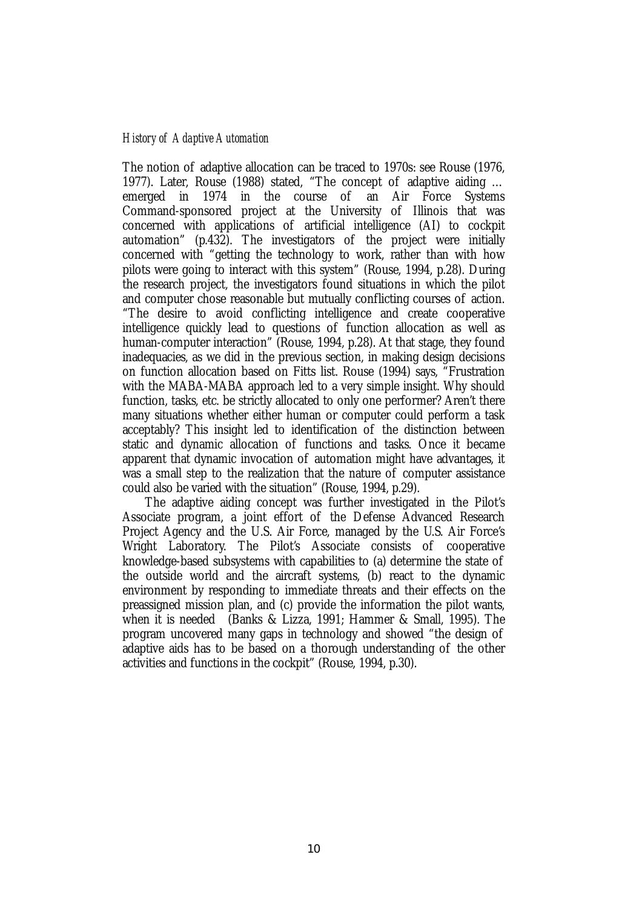# *History of Adaptive Automation*

The notion of adaptive allocation can be traced to 1970s: see Rouse (1976, 1977). Later, Rouse (1988) stated, "The concept of adaptive aiding … emerged in 1974 in the course of an Air Force Systems Command-sponsored project at the University of Illinois that was concerned with applications of artificial intelligence (AI) to cockpit automation" (p.432). The investigators of the project were initially concerned with "getting the technology to work, rather than with how pilots were going to interact with this system" (Rouse, 1994, p.28). During the research project, the investigators found situations in which the pilot and computer chose reasonable but mutually conflicting courses of action. "The desire to avoid conflicting intelligence and create cooperative intelligence quickly lead to questions of function allocation as well as human-computer interaction" (Rouse, 1994, p.28). At that stage, they found inadequacies, as we did in the previous section, in making design decisions on function allocation based on Fitts list. Rouse (1994) says, "Frustration with the MABA-MABA approach led to a very simple insight. Why should function, tasks, etc. be strictly allocated to only one performer? Aren't there many situations whether either human or computer could perform a task acceptably? This insight led to identification of the distinction between static and dynamic allocation of functions and tasks. Once it became apparent that dynamic invocation of automation might have advantages, it was a small step to the realization that the nature of computer assistance could also be varied with the situation" (Rouse, 1994, p.29).

The adaptive aiding concept was further investigated in the Pilot's Associate program, a joint effort of the Defense Advanced Research Project Agency and the U.S. Air Force, managed by the U.S. Air Force's Wright Laboratory. The Pilot's Associate consists of cooperative knowledge-based subsystems with capabilities to (a) determine the state of the outside world and the aircraft systems, (b) react to the dynamic environment by responding to immediate threats and their effects on the preassigned mission plan, and (c) provide the information the pilot wants, when it is needed (Banks & Lizza, 1991; Hammer & Small, 1995). The program uncovered many gaps in technology and showed "the design of adaptive aids has to be based on a thorough understanding of the other activities and functions in the cockpit" (Rouse, 1994, p.30).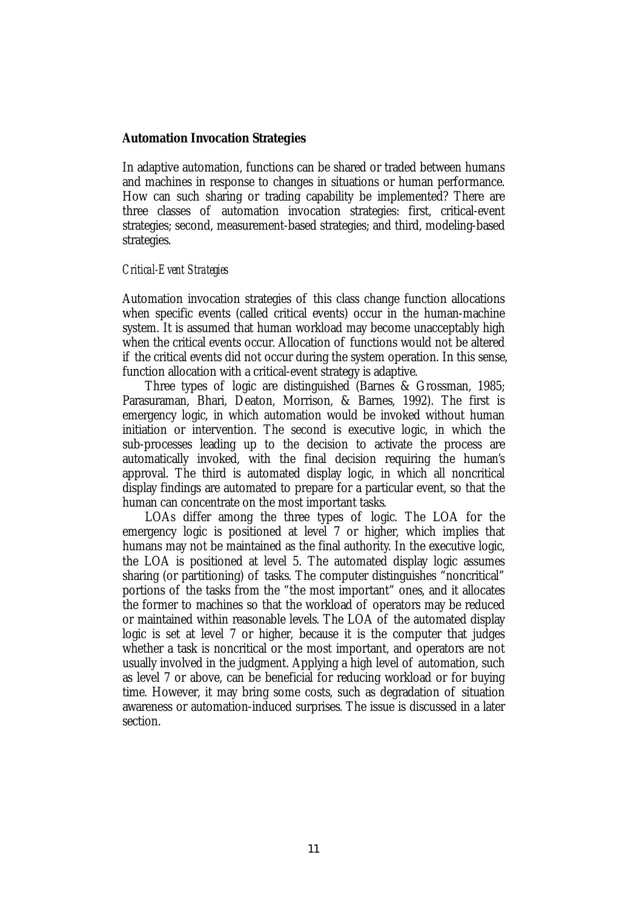## **Automation Invocation Strategies**

In adaptive automation, functions can be shared or traded between humans and machines in response to changes in situations or human performance. How can such sharing or trading capability be implemented? There are three classes of automation invocation strategies: first, critical-event strategies; second, measurement-based strategies; and third, modeling-based strategies.

## *Critical-Event Strategies*

Automation invocation strategies of this class change function allocations when specific events (called critical events) occur in the human-machine system. It is assumed that human workload may become unacceptably high when the critical events occur. Allocation of functions would not be altered if the critical events did not occur during the system operation. In this sense, function allocation with a critical-event strategy is adaptive.

Three types of logic are distinguished (Barnes & Grossman, 1985; Parasuraman, Bhari, Deaton, Morrison, & Barnes, 1992). The first is emergency logic, in which automation would be invoked without human initiation or intervention. The second is executive logic, in which the sub-processes leading up to the decision to activate the process are automatically invoked, with the final decision requiring the human's approval. The third is automated display logic, in which all noncritical display findings are automated to prepare for a particular event, so that the human can concentrate on the most important tasks.

LOAs differ among the three types of logic. The LOA for the emergency logic is positioned at level 7 or higher, which implies that humans may not be maintained as the final authority. In the executive logic, the LOA is positioned at level 5. The automated display logic assumes sharing (or partitioning) of tasks. The computer distinguishes "noncritical" portions of the tasks from the "the most important" ones, and it allocates the former to machines so that the workload of operators may be reduced or maintained within reasonable levels. The LOA of the automated display logic is set at level 7 or higher, because it is the computer that judges whether a task is noncritical or the most important, and operators are not usually involved in the judgment. Applying a high level of automation, such as level 7 or above, can be beneficial for reducing workload or for buying time. However, it may bring some costs, such as degradation of situation awareness or automation-induced surprises. The issue is discussed in a later section.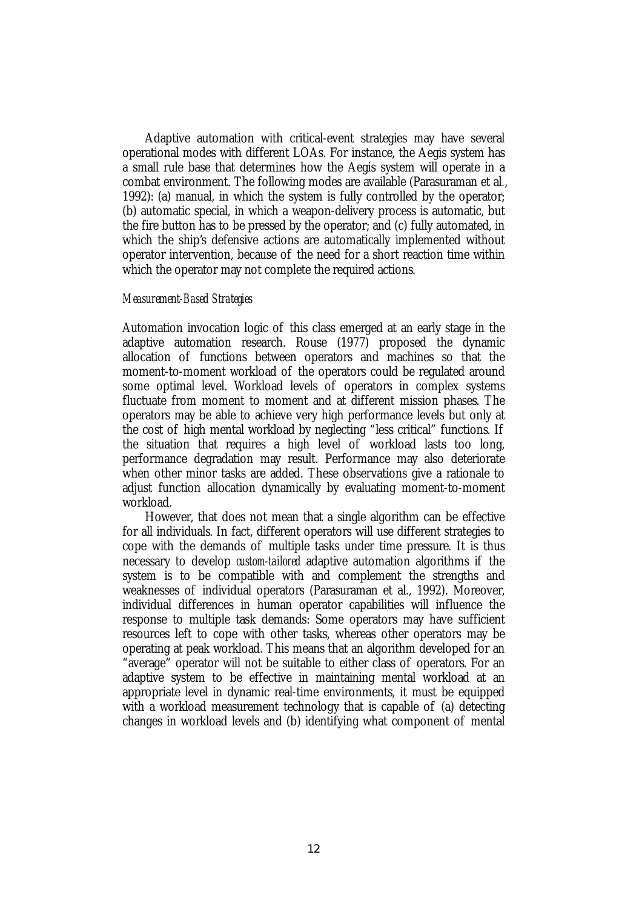Adaptive automation with critical-event strategies may have several operational modes with different LOAs. For instance, the Aegis system has a small rule base that determines how the Aegis system will operate in a combat environment. The following modes are available (Parasuraman et al*.*, 1992): (a) manual, in which the system is fully controlled by the operator; (b) automatic special, in which a weapon-delivery process is automatic, but the fire button has to be pressed by the operator; and (c) fully automated, in which the ship's defensive actions are automatically implemented without operator intervention, because of the need for a short reaction time within which the operator may not complete the required actions.

#### *Measurement-Based Strategies*

Automation invocation logic of this class emerged at an early stage in the adaptive automation research. Rouse (1977) proposed the dynamic allocation of functions between operators and machines so that the moment-to-moment workload of the operators could be regulated around some optimal level. Workload levels of operators in complex systems fluctuate from moment to moment and at different mission phases. The operators may be able to achieve very high performance levels but only at the cost of high mental workload by neglecting "less critical" functions. If the situation that requires a high level of workload lasts too long, performance degradation may result. Performance may also deteriorate when other minor tasks are added. These observations give a rationale to adjust function allocation dynamically by evaluating moment-to-moment workload.

However, that does not mean that a single algorithm can be effective for all individuals. In fact, different operators will use different strategies to cope with the demands of multiple tasks under time pressure. It is thus necessary to develop *custom-tailored* adaptive automation algorithms if the system is to be compatible with and complement the strengths and weaknesses of individual operators (Parasuraman et al., 1992). Moreover, individual differences in human operator capabilities will influence the response to multiple task demands: Some operators may have sufficient resources left to cope with other tasks, whereas other operators may be operating at peak workload. This means that an algorithm developed for an "average" operator will not be suitable to either class of operators. For an adaptive system to be effective in maintaining mental workload at an appropriate level in dynamic real-time environments, it must be equipped with a workload measurement technology that is capable of (a) detecting changes in workload levels and (b) identifying what component of mental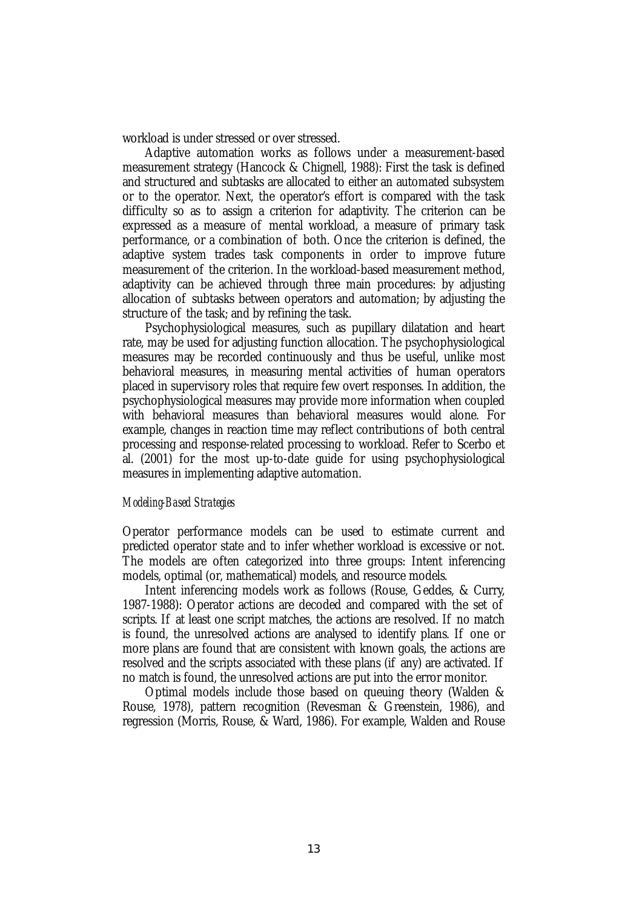workload is under stressed or over stressed.

Adaptive automation works as follows under a measurement-based measurement strategy (Hancock & Chignell, 1988): First the task is defined and structured and subtasks are allocated to either an automated subsystem or to the operator. Next, the operator's effort is compared with the task difficulty so as to assign a criterion for adaptivity. The criterion can be expressed as a measure of mental workload, a measure of primary task performance, or a combination of both. Once the criterion is defined, the adaptive system trades task components in order to improve future measurement of the criterion. In the workload-based measurement method, adaptivity can be achieved through three main procedures: by adjusting allocation of subtasks between operators and automation; by adjusting the structure of the task; and by refining the task.

Psychophysiological measures, such as pupillary dilatation and heart rate, may be used for adjusting function allocation. The psychophysiological measures may be recorded continuously and thus be useful, unlike most behavioral measures, in measuring mental activities of human operators placed in supervisory roles that require few overt responses. In addition, the psychophysiological measures may provide more information when coupled with behavioral measures than behavioral measures would alone. For example, changes in reaction time may reflect contributions of both central processing and response-related processing to workload. Refer to Scerbo et al. (2001) for the most up-to-date guide for using psychophysiological measures in implementing adaptive automation.

#### *Modeling-Based Strategies*

Operator performance models can be used to estimate current and predicted operator state and to infer whether workload is excessive or not. The models are often categorized into three groups: Intent inferencing models, optimal (or, mathematical) models, and resource models.

Intent inferencing models work as follows (Rouse, Geddes, & Curry, 1987-1988): Operator actions are decoded and compared with the set of scripts. If at least one script matches, the actions are resolved. If no match is found, the unresolved actions are analysed to identify plans. If one or more plans are found that are consistent with known goals, the actions are resolved and the scripts associated with these plans (if any) are activated. If no match is found, the unresolved actions are put into the error monitor.

Optimal models include those based on queuing theory (Walden & Rouse, 1978), pattern recognition (Revesman & Greenstein, 1986), and regression (Morris, Rouse, & Ward, 1986). For example, Walden and Rouse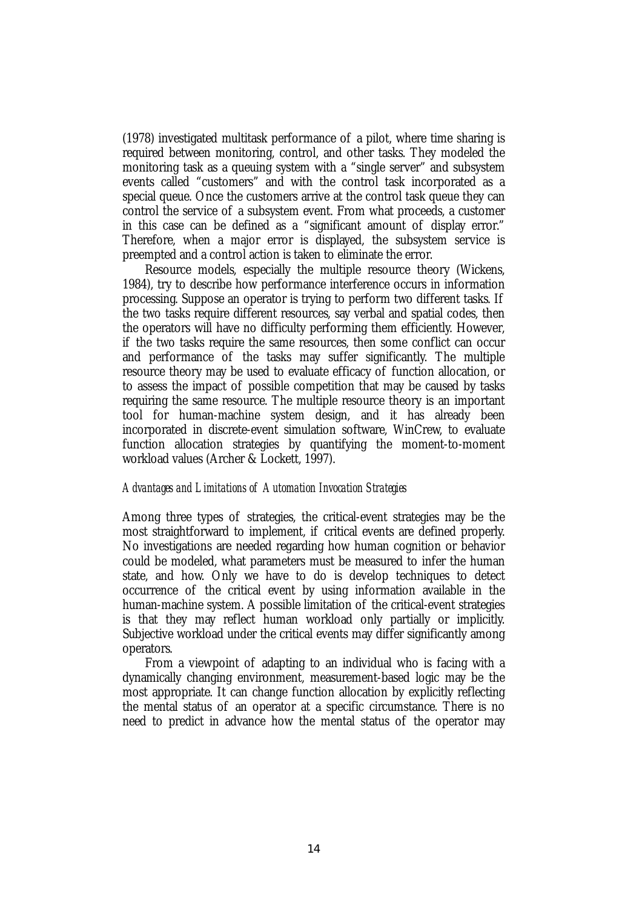(1978) investigated multitask performance of a pilot, where time sharing is required between monitoring, control, and other tasks. They modeled the monitoring task as a queuing system with a "single server" and subsystem events called "customers" and with the control task incorporated as a special queue. Once the customers arrive at the control task queue they can control the service of a subsystem event. From what proceeds, a customer in this case can be defined as a "significant amount of display error." Therefore, when a major error is displayed, the subsystem service is preempted and a control action is taken to eliminate the error.

Resource models, especially the multiple resource theory (Wickens, 1984), try to describe how performance interference occurs in information processing. Suppose an operator is trying to perform two different tasks. If the two tasks require different resources, say verbal and spatial codes, then the operators will have no difficulty performing them efficiently. However, if the two tasks require the same resources, then some conflict can occur and performance of the tasks may suffer significantly. The multiple resource theory may be used to evaluate efficacy of function allocation, or to assess the impact of possible competition that may be caused by tasks requiring the same resource. The multiple resource theory is an important tool for human-machine system design, and it has already been incorporated in discrete-event simulation software, WinCrew, to evaluate function allocation strategies by quantifying the moment-to-moment workload values (Archer & Lockett, 1997).

#### *Advantages and Limitations of Automation Invocation Strategies*

Among three types of strategies, the critical-event strategies may be the most straightforward to implement, if critical events are defined properly. No investigations are needed regarding how human cognition or behavior could be modeled, what parameters must be measured to infer the human state, and how. Only we have to do is develop techniques to detect occurrence of the critical event by using information available in the human-machine system. A possible limitation of the critical-event strategies is that they may reflect human workload only partially or implicitly. Subjective workload under the critical events may differ significantly among operators.

From a viewpoint of adapting to an individual who is facing with a dynamically changing environment, measurement-based logic may be the most appropriate. It can change function allocation by explicitly reflecting the mental status of an operator at a specific circumstance. There is no need to predict in advance how the mental status of the operator may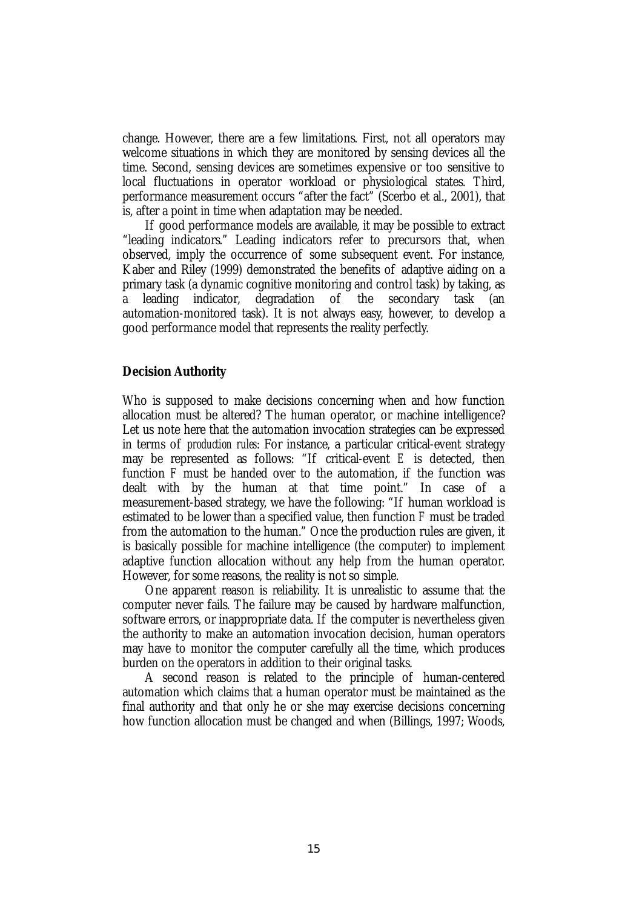change. However, there are a few limitations. First, not all operators may welcome situations in which they are monitored by sensing devices all the time. Second, sensing devices are sometimes expensive or too sensitive to local fluctuations in operator workload or physiological states. Third, performance measurement occurs "after the fact" (Scerbo et al., 2001), that is, after a point in time when adaptation may be needed.

If good performance models are available, it may be possible to extract "leading indicators." Leading indicators refer to precursors that, when observed, imply the occurrence of some subsequent event. For instance, Kaber and Riley (1999) demonstrated the benefits of adaptive aiding on a primary task (a dynamic cognitive monitoring and control task) by taking, as a leading indicator, degradation of the secondary task (an automation-monitored task). It is not always easy, however, to develop a good performance model that represents the reality perfectly.

## **Decision Authority**

Who is supposed to make decisions concerning when and how function allocation must be altered? The human operator, or machine intelligence? Let us note here that the automation invocation strategies can be expressed in terms of *production rules*: For instance, a particular critical-event strategy may be represented as follows: "If critical-event *E* is detected, then function *F* must be handed over to the automation, if the function was dealt with by the human at that time point." In case of a measurement-based strategy, we have the following: "If human workload is estimated to be lower than a specified value, then function *F* must be traded from the automation to the human." Once the production rules are given, it is basically possible for machine intelligence (the computer) to implement adaptive function allocation without any help from the human operator. However, for some reasons, the reality is not so simple.

One apparent reason is reliability. It is unrealistic to assume that the computer never fails. The failure may be caused by hardware malfunction, software errors, or inappropriate data. If the computer is nevertheless given the authority to make an automation invocation decision, human operators may have to monitor the computer carefully all the time, which produces burden on the operators in addition to their original tasks.

A second reason is related to the principle of human-centered automation which claims that a human operator must be maintained as the final authority and that only he or she may exercise decisions concerning how function allocation must be changed and when (Billings, 1997; Woods,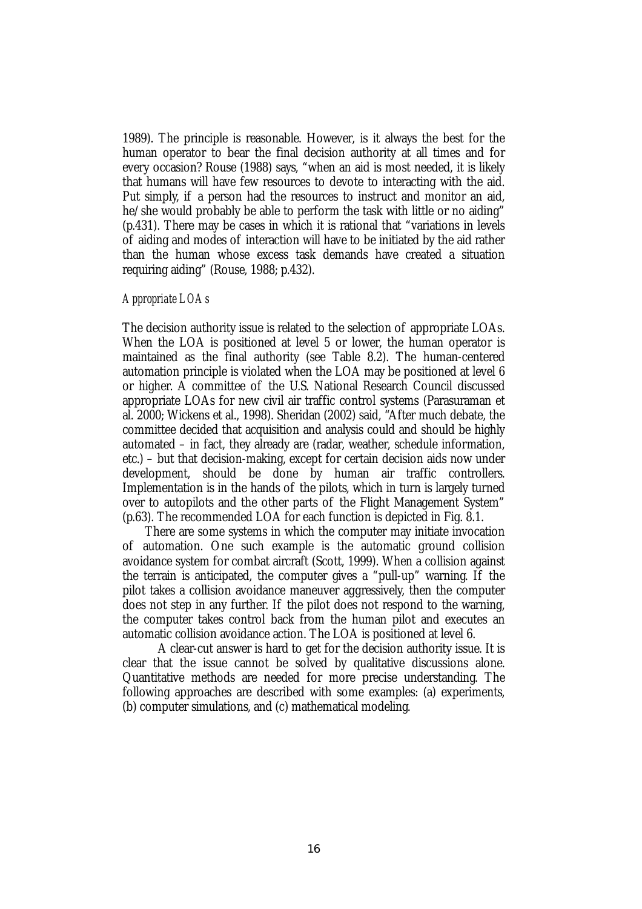1989). The principle is reasonable. However, is it always the best for the human operator to bear the final decision authority at all times and for every occasion? Rouse (1988) says, "when an aid is most needed, it is likely that humans will have few resources to devote to interacting with the aid. Put simply, if a person had the resources to instruct and monitor an aid, he/she would probably be able to perform the task with little or no aiding" (p.431). There may be cases in which it is rational that "variations in levels of aiding and modes of interaction will have to be initiated by the aid rather than the human whose excess task demands have created a situation requiring aiding" (Rouse, 1988; p.432).

#### *Appropriate LOAs*

The decision authority issue is related to the selection of appropriate LOAs. When the LOA is positioned at level 5 or lower, the human operator is maintained as the final authority (see Table 8.2). The human-centered automation principle is violated when the LOA may be positioned at level 6 or higher. A committee of the U.S. National Research Council discussed appropriate LOAs for new civil air traffic control systems (Parasuraman et al. 2000; Wickens et al., 1998). Sheridan (2002) said, "After much debate, the committee decided that acquisition and analysis could and should be highly automated – in fact, they already are (radar, weather, schedule information, etc.) – but that decision-making, except for certain decision aids now under development, should be done by human air traffic controllers. Implementation is in the hands of the pilots, which in turn is largely turned over to autopilots and the other parts of the Flight Management System" (p.63). The recommended LOA for each function is depicted in Fig. 8.1.

There are some systems in which the computer may initiate invocation of automation. One such example is the automatic ground collision avoidance system for combat aircraft (Scott, 1999). When a collision against the terrain is anticipated, the computer gives a "pull-up" warning. If the pilot takes a collision avoidance maneuver aggressively, then the computer does not step in any further. If the pilot does not respond to the warning, the computer takes control back from the human pilot and executes an automatic collision avoidance action. The LOA is positioned at level 6.

A clear-cut answer is hard to get for the decision authority issue. It is clear that the issue cannot be solved by qualitative discussions alone. Quantitative methods are needed for more precise understanding. The following approaches are described with some examples: (a) experiments, (b) computer simulations, and (c) mathematical modeling.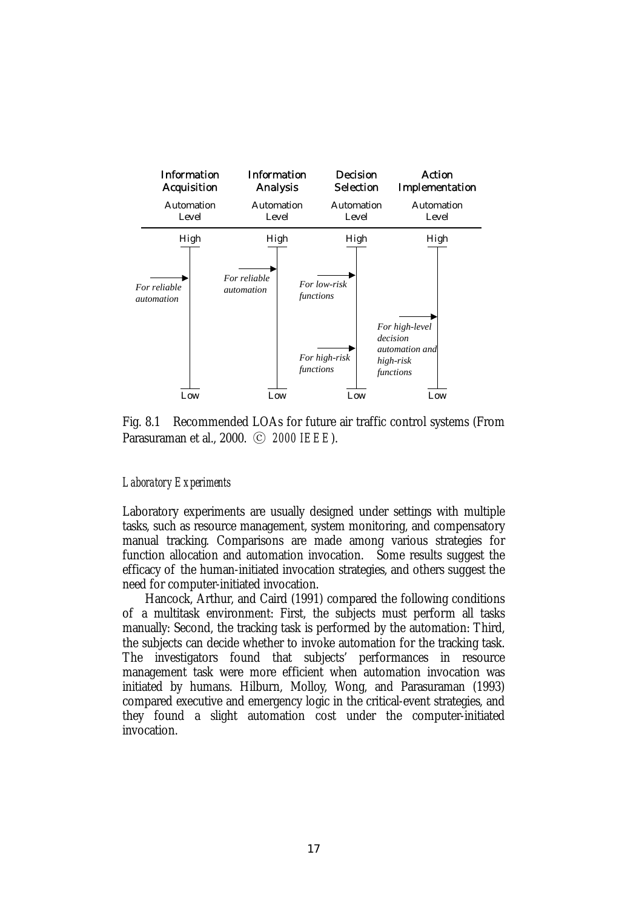

Fig. 8.1 Recommended LOAs for future air traffic control systems (From Parasuraman et al., 2000. ⓒ *2000 IEEE*).

## *Laboratory Experiments*

Laboratory experiments are usually designed under settings with multiple tasks, such as resource management, system monitoring, and compensatory manual tracking. Comparisons are made among various strategies for function allocation and automation invocation. Some results suggest the efficacy of the human-initiated invocation strategies, and others suggest the need for computer-initiated invocation.

Hancock, Arthur, and Caird (1991) compared the following conditions of a multitask environment: First, the subjects must perform all tasks manually: Second, the tracking task is performed by the automation: Third, the subjects can decide whether to invoke automation for the tracking task. The investigators found that subjects' performances in resource management task were more efficient when automation invocation was initiated by humans. Hilburn, Molloy, Wong, and Parasuraman (1993) compared executive and emergency logic in the critical-event strategies, and they found a slight automation cost under the computer-initiated invocation.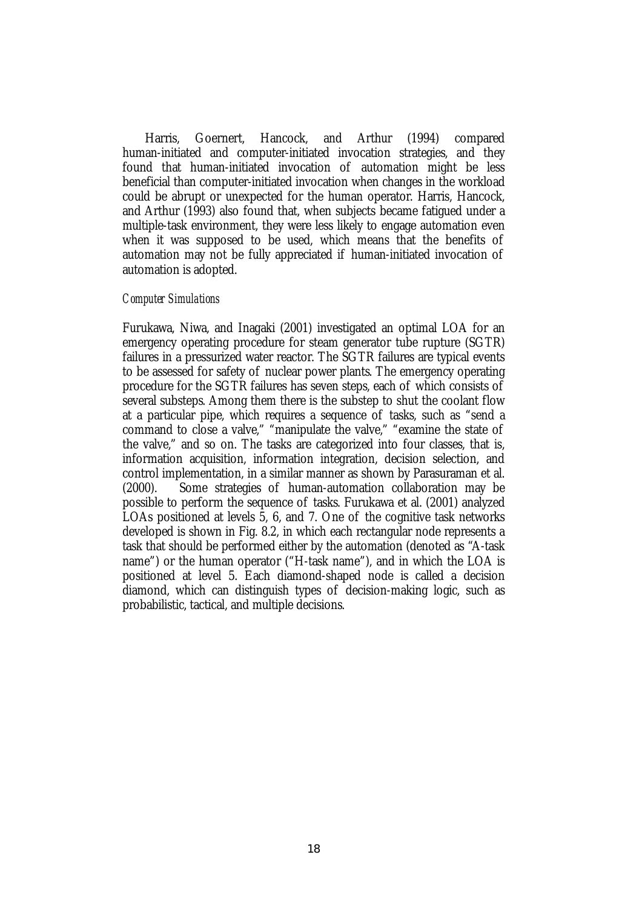Harris, Goernert, Hancock, and Arthur (1994) compared human-initiated and computer-initiated invocation strategies, and they found that human-initiated invocation of automation might be less beneficial than computer-initiated invocation when changes in the workload could be abrupt or unexpected for the human operator. Harris, Hancock, and Arthur (1993) also found that, when subjects became fatigued under a multiple-task environment, they were less likely to engage automation even when it was supposed to be used, which means that the benefits of automation may not be fully appreciated if human-initiated invocation of automation is adopted.

#### *Computer Simulations*

Furukawa, Niwa, and Inagaki (2001) investigated an optimal LOA for an emergency operating procedure for steam generator tube rupture (SGTR) failures in a pressurized water reactor. The SGTR failures are typical events to be assessed for safety of nuclear power plants. The emergency operating procedure for the SGTR failures has seven steps, each of which consists of several substeps. Among them there is the substep to shut the coolant flow at a particular pipe, which requires a sequence of tasks, such as "send a command to close a valve," "manipulate the valve," "examine the state of the valve," and so on. The tasks are categorized into four classes, that is, information acquisition, information integration, decision selection, and control implementation, in a similar manner as shown by Parasuraman et al. (2000). Some strategies of human-automation collaboration may be possible to perform the sequence of tasks. Furukawa et al. (2001) analyzed LOAs positioned at levels 5, 6, and 7. One of the cognitive task networks developed is shown in Fig. 8.2, in which each rectangular node represents a task that should be performed either by the automation (denoted as "A-task name") or the human operator ("H-task name"), and in which the LOA is positioned at level 5. Each diamond-shaped node is called a decision diamond, which can distinguish types of decision-making logic, such as probabilistic, tactical, and multiple decisions.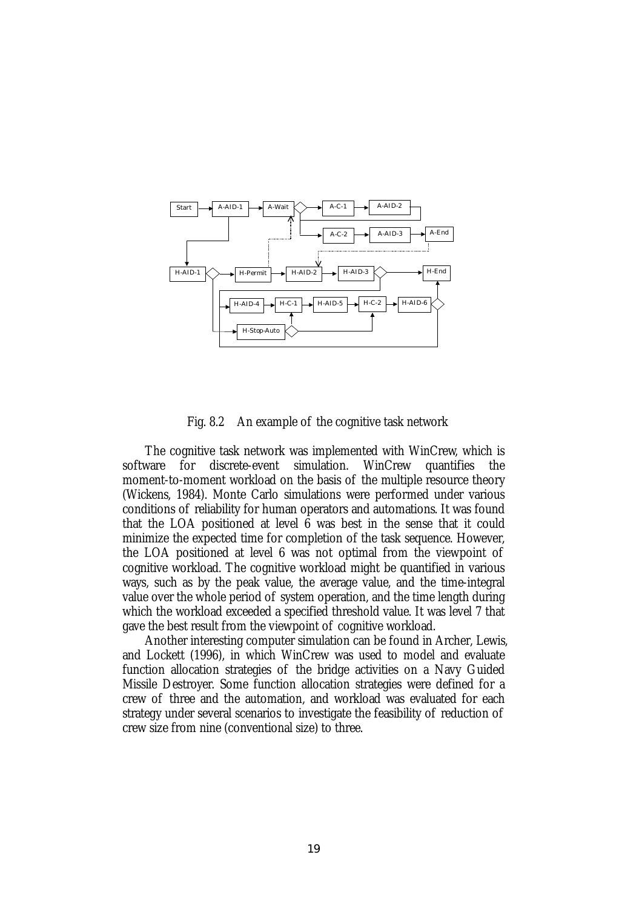

Fig. 8.2 An example of the cognitive task network

The cognitive task network was implemented with WinCrew, which is software for discrete-event simulation. WinCrew quantifies the moment-to-moment workload on the basis of the multiple resource theory (Wickens, 1984). Monte Carlo simulations were performed under various conditions of reliability for human operators and automations. It was found that the LOA positioned at level 6 was best in the sense that it could minimize the expected time for completion of the task sequence. However, the LOA positioned at level 6 was not optimal from the viewpoint of cognitive workload. The cognitive workload might be quantified in various ways, such as by the peak value, the average value, and the time-integral value over the whole period of system operation, and the time length during which the workload exceeded a specified threshold value. It was level 7 that gave the best result from the viewpoint of cognitive workload.

Another interesting computer simulation can be found in Archer, Lewis, and Lockett (1996), in which WinCrew was used to model and evaluate function allocation strategies of the bridge activities on a Navy Guided Missile Destroyer. Some function allocation strategies were defined for a crew of three and the automation, and workload was evaluated for each strategy under several scenarios to investigate the feasibility of reduction of crew size from nine (conventional size) to three.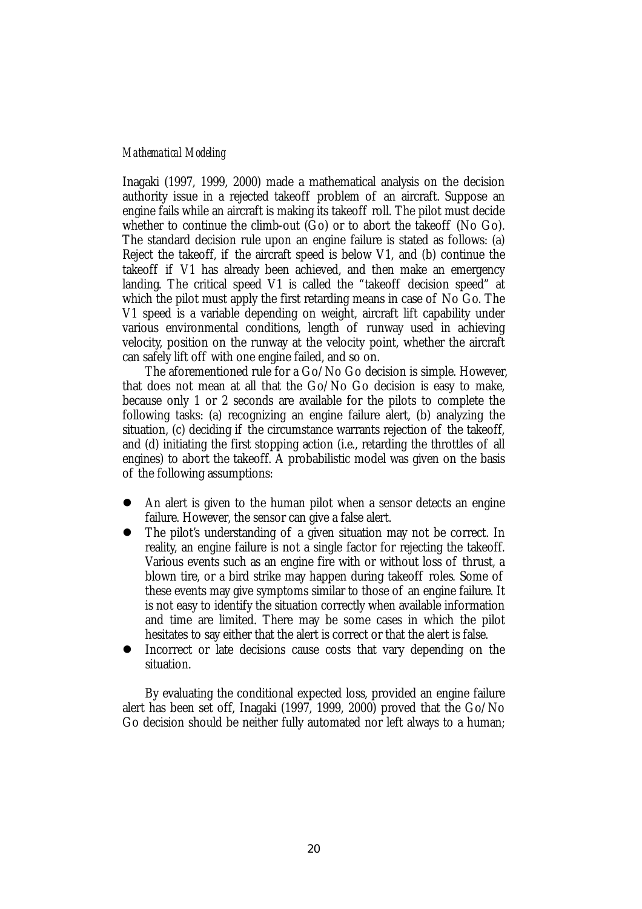## *Mathematical Modeling*

Inagaki (1997, 1999, 2000) made a mathematical analysis on the decision authority issue in a rejected takeoff problem of an aircraft. Suppose an engine fails while an aircraft is making its takeoff roll. The pilot must decide whether to continue the climb-out (Go) or to abort the takeoff (No Go). The standard decision rule upon an engine failure is stated as follows: (a) Reject the takeoff, if the aircraft speed is below V1, and (b) continue the takeoff if V1 has already been achieved, and then make an emergency landing. The critical speed V1 is called the "takeoff decision speed" at which the pilot must apply the first retarding means in case of No Go. The V1 speed is a variable depending on weight, aircraft lift capability under various environmental conditions, length of runway used in achieving velocity, position on the runway at the velocity point, whether the aircraft can safely lift off with one engine failed, and so on.

The aforementioned rule for a Go/No Go decision is simple. However, that does not mean at all that the Go/No Go decision is easy to make, because only 1 or 2 seconds are available for the pilots to complete the following tasks: (a) recognizing an engine failure alert, (b) analyzing the situation, (c) deciding if the circumstance warrants rejection of the takeoff, and (d) initiating the first stopping action (i.e., retarding the throttles of all engines) to abort the takeoff. A probabilistic model was given on the basis of the following assumptions:

- An alert is given to the human pilot when a sensor detects an engine failure. However, the sensor can give a false alert.
- The pilot's understanding of a given situation may not be correct. In reality, an engine failure is not a single factor for rejecting the takeoff. Various events such as an engine fire with or without loss of thrust, a blown tire, or a bird strike may happen during takeoff roles. Some of these events may give symptoms similar to those of an engine failure. It is not easy to identify the situation correctly when available information and time are limited. There may be some cases in which the pilot hesitates to say either that the alert is correct or that the alert is false.
- Incorrect or late decisions cause costs that vary depending on the situation.

By evaluating the conditional expected loss, provided an engine failure alert has been set off, Inagaki (1997, 1999, 2000) proved that the Go/No Go decision should be neither fully automated nor left always to a human;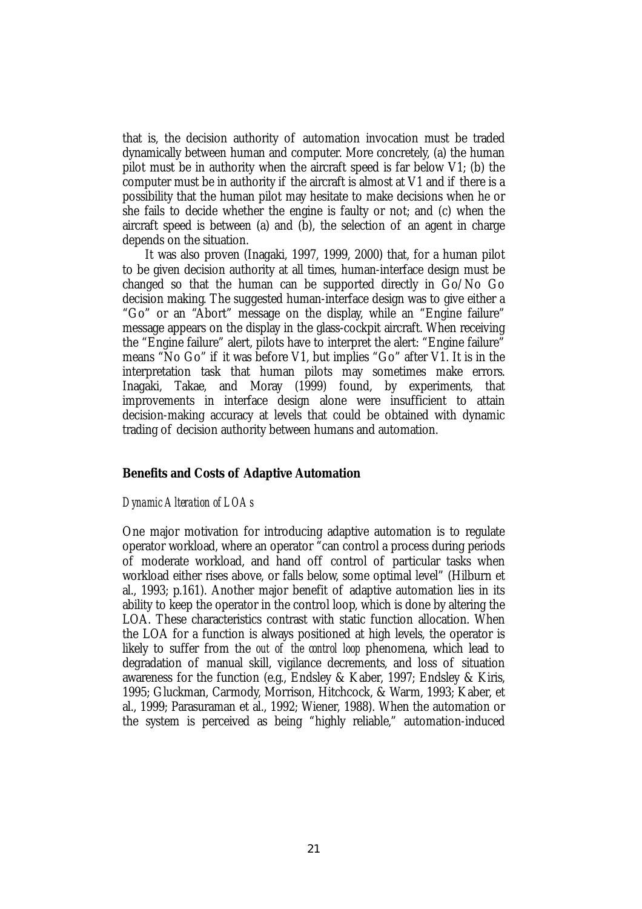that is, the decision authority of automation invocation must be traded dynamically between human and computer. More concretely, (a) the human pilot must be in authority when the aircraft speed is far below V1; (b) the computer must be in authority if the aircraft is almost at V1 and if there is a possibility that the human pilot may hesitate to make decisions when he or she fails to decide whether the engine is faulty or not; and (c) when the aircraft speed is between (a) and (b), the selection of an agent in charge depends on the situation.

It was also proven (Inagaki, 1997, 1999, 2000) that, for a human pilot to be given decision authority at all times, human-interface design must be changed so that the human can be supported directly in Go/No Go decision making. The suggested human-interface design was to give either a "Go" or an "Abort" message on the display, while an "Engine failure" message appears on the display in the glass-cockpit aircraft. When receiving the "Engine failure" alert, pilots have to interpret the alert: "Engine failure" means "No Go" if it was before V1, but implies "Go" after V1. It is in the interpretation task that human pilots may sometimes make errors. Inagaki, Takae, and Moray (1999) found, by experiments, that improvements in interface design alone were insufficient to attain decision-making accuracy at levels that could be obtained with dynamic trading of decision authority between humans and automation.

## **Benefits and Costs of Adaptive Automation**

#### *Dynamic Alteration of LOAs*

One major motivation for introducing adaptive automation is to regulate operator workload, where an operator "can control a process during periods of moderate workload, and hand off control of particular tasks when workload either rises above, or falls below, some optimal level" (Hilburn et al., 1993; p.161). Another major benefit of adaptive automation lies in its ability to keep the operator in the control loop, which is done by altering the LOA. These characteristics contrast with static function allocation. When the LOA for a function is always positioned at high levels, the operator is likely to suffer from the *out of the control loop* phenomena, which lead to degradation of manual skill, vigilance decrements, and loss of situation awareness for the function (e.g., Endsley & Kaber, 1997; Endsley & Kiris, 1995; Gluckman, Carmody, Morrison, Hitchcock, & Warm, 1993; Kaber, et al., 1999; Parasuraman et al., 1992; Wiener, 1988). When the automation or the system is perceived as being "highly reliable," automation-induced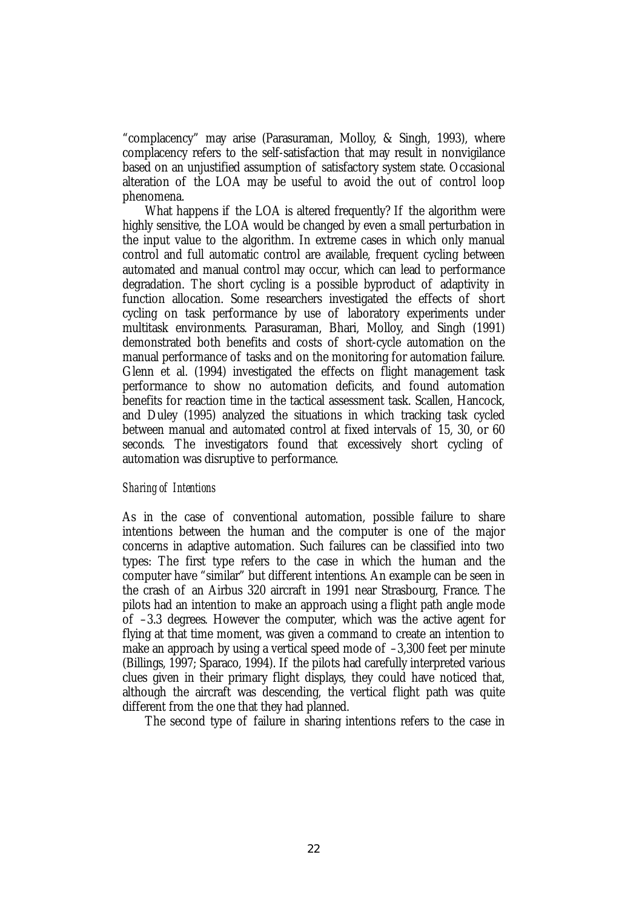"complacency" may arise (Parasuraman, Molloy, & Singh, 1993), where complacency refers to the self-satisfaction that may result in nonvigilance based on an unjustified assumption of satisfactory system state. Occasional alteration of the LOA may be useful to avoid the out of control loop phenomena.

What happens if the LOA is altered frequently? If the algorithm were highly sensitive, the LOA would be changed by even a small perturbation in the input value to the algorithm. In extreme cases in which only manual control and full automatic control are available, frequent cycling between automated and manual control may occur, which can lead to performance degradation. The short cycling is a possible byproduct of adaptivity in function allocation. Some researchers investigated the effects of short cycling on task performance by use of laboratory experiments under multitask environments. Parasuraman, Bhari, Molloy, and Singh (1991) demonstrated both benefits and costs of short-cycle automation on the manual performance of tasks and on the monitoring for automation failure. Glenn et al. (1994) investigated the effects on flight management task performance to show no automation deficits, and found automation benefits for reaction time in the tactical assessment task. Scallen, Hancock, and Duley (1995) analyzed the situations in which tracking task cycled between manual and automated control at fixed intervals of 15, 30, or 60 seconds. The investigators found that excessively short cycling of automation was disruptive to performance.

#### *Sharing of Intentions*

As in the case of conventional automation, possible failure to share intentions between the human and the computer is one of the major concerns in adaptive automation. Such failures can be classified into two types: The first type refers to the case in which the human and the computer have "similar" but different intentions. An example can be seen in the crash of an Airbus 320 aircraft in 1991 near Strasbourg, France. The pilots had an intention to make an approach using a flight path angle mode of –3.3 degrees. However the computer, which was the active agent for flying at that time moment, was given a command to create an intention to make an approach by using a vertical speed mode of –3,300 feet per minute (Billings, 1997; Sparaco, 1994). If the pilots had carefully interpreted various clues given in their primary flight displays, they could have noticed that, although the aircraft was descending, the vertical flight path was quite different from the one that they had planned.

The second type of failure in sharing intentions refers to the case in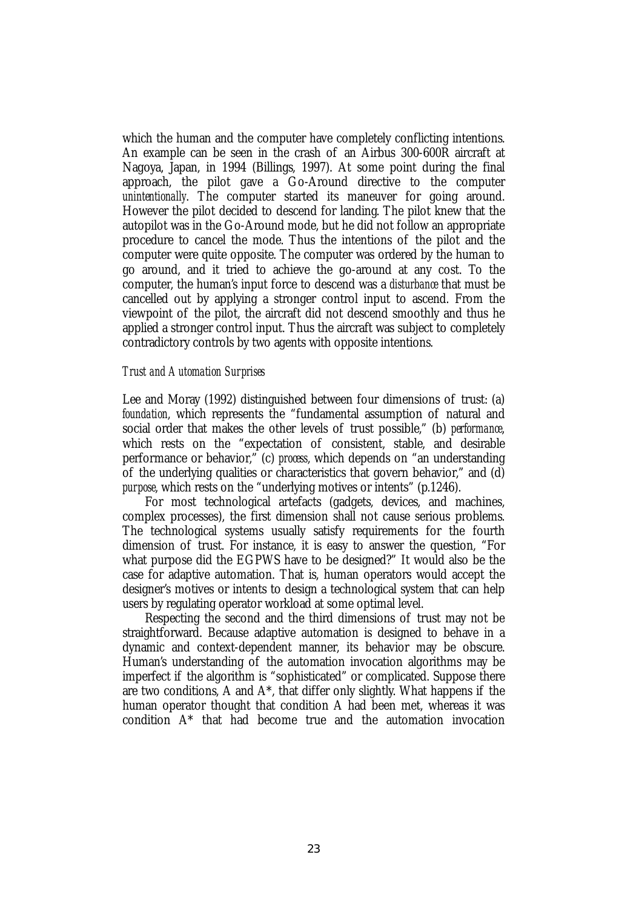which the human and the computer have completely conflicting intentions. An example can be seen in the crash of an Airbus 300-600R aircraft at Nagoya, Japan, in 1994 (Billings, 1997). At some point during the final approach, the pilot gave a Go-Around directive to the computer *unintentionally*. The computer started its maneuver for going around. However the pilot decided to descend for landing. The pilot knew that the autopilot was in the Go-Around mode, but he did not follow an appropriate procedure to cancel the mode. Thus the intentions of the pilot and the computer were quite opposite. The computer was ordered by the human to go around, and it tried to achieve the go-around at any cost. To the computer, the human's input force to descend was a *disturbance* that must be cancelled out by applying a stronger control input to ascend. From the viewpoint of the pilot, the aircraft did not descend smoothly and thus he applied a stronger control input. Thus the aircraft was subject to completely contradictory controls by two agents with opposite intentions.

#### *Trust and Automation Surprises*

Lee and Moray (1992) distinguished between four dimensions of trust: (a) *foundation*, which represents the "fundamental assumption of natural and social order that makes the other levels of trust possible," (b) *performance*, which rests on the "expectation of consistent, stable, and desirable performance or behavior," (c) *process*, which depends on "an understanding of the underlying qualities or characteristics that govern behavior," and (d) *purpose*, which rests on the "underlying motives or intents" (p.1246).

For most technological artefacts (gadgets, devices, and machines, complex processes), the first dimension shall not cause serious problems. The technological systems usually satisfy requirements for the fourth dimension of trust. For instance, it is easy to answer the question, "For what purpose did the EGPWS have to be designed?" It would also be the case for adaptive automation. That is, human operators would accept the designer's motives or intents to design a technological system that can help users by regulating operator workload at some optimal level.

Respecting the second and the third dimensions of trust may not be straightforward. Because adaptive automation is designed to behave in a dynamic and context-dependent manner, its behavior may be obscure. Human's understanding of the automation invocation algorithms may be imperfect if the algorithm is "sophisticated" or complicated. Suppose there are two conditions, A and  $A^*$ , that differ only slightly. What happens if the human operator thought that condition A had been met, whereas it was condition A\* that had become true and the automation invocation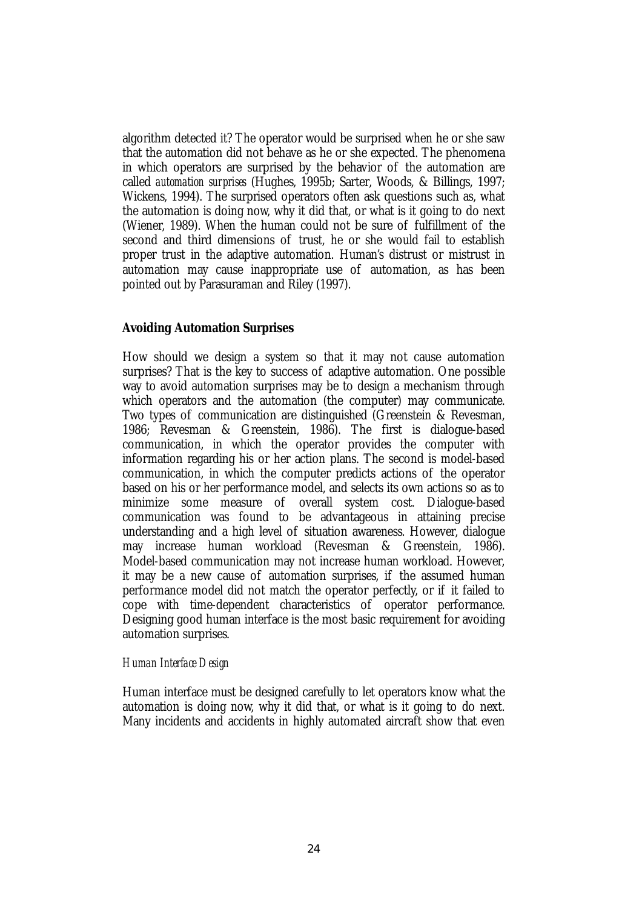algorithm detected it? The operator would be surprised when he or she saw that the automation did not behave as he or she expected. The phenomena in which operators are surprised by the behavior of the automation are called *automation surprises* (Hughes, 1995b; Sarter, Woods, & Billings, 1997; Wickens, 1994). The surprised operators often ask questions such as, what the automation is doing now, why it did that, or what is it going to do next (Wiener, 1989). When the human could not be sure of fulfillment of the second and third dimensions of trust, he or she would fail to establish proper trust in the adaptive automation. Human's distrust or mistrust in automation may cause inappropriate use of automation, as has been pointed out by Parasuraman and Riley (1997).

# **Avoiding Automation Surprises**

How should we design a system so that it may not cause automation surprises? That is the key to success of adaptive automation. One possible way to avoid automation surprises may be to design a mechanism through which operators and the automation (the computer) may communicate. Two types of communication are distinguished (Greenstein & Revesman, 1986; Revesman & Greenstein, 1986). The first is dialogue-based communication, in which the operator provides the computer with information regarding his or her action plans. The second is model-based communication, in which the computer predicts actions of the operator based on his or her performance model, and selects its own actions so as to minimize some measure of overall system cost. Dialogue-based communication was found to be advantageous in attaining precise understanding and a high level of situation awareness. However, dialogue may increase human workload (Revesman & Greenstein, 1986). Model-based communication may not increase human workload. However, it may be a new cause of automation surprises, if the assumed human performance model did not match the operator perfectly, or if it failed to cope with time-dependent characteristics of operator performance. Designing good human interface is the most basic requirement for avoiding automation surprises.

## *Human Interface Design*

Human interface must be designed carefully to let operators know what the automation is doing now, why it did that, or what is it going to do next. Many incidents and accidents in highly automated aircraft show that even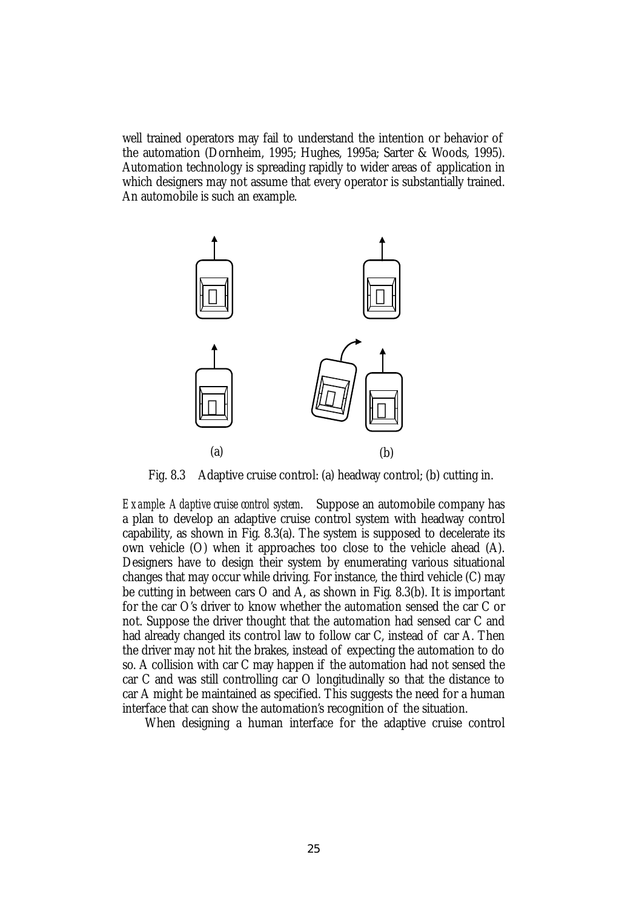well trained operators may fail to understand the intention or behavior of the automation (Dornheim, 1995; Hughes, 1995a; Sarter & Woods, 1995). Automation technology is spreading rapidly to wider areas of application in which designers may not assume that every operator is substantially trained. An automobile is such an example.



Fig. 8.3 Adaptive cruise control: (a) headway control; (b) cutting in.

*Example: Adaptive cruise control system*. Suppose an automobile company has a plan to develop an adaptive cruise control system with headway control capability, as shown in Fig. 8.3(a). The system is supposed to decelerate its own vehicle (O) when it approaches too close to the vehicle ahead (A). Designers have to design their system by enumerating various situational changes that may occur while driving. For instance, the third vehicle (C) may be cutting in between cars O and A, as shown in Fig. 8.3(b). It is important for the car O's driver to know whether the automation sensed the car C or not. Suppose the driver thought that the automation had sensed car C and had already changed its control law to follow car C, instead of car A. Then the driver may not hit the brakes, instead of expecting the automation to do so. A collision with car C may happen if the automation had not sensed the car C and was still controlling car O longitudinally so that the distance to car A might be maintained as specified. This suggests the need for a human interface that can show the automation's recognition of the situation.

When designing a human interface for the adaptive cruise control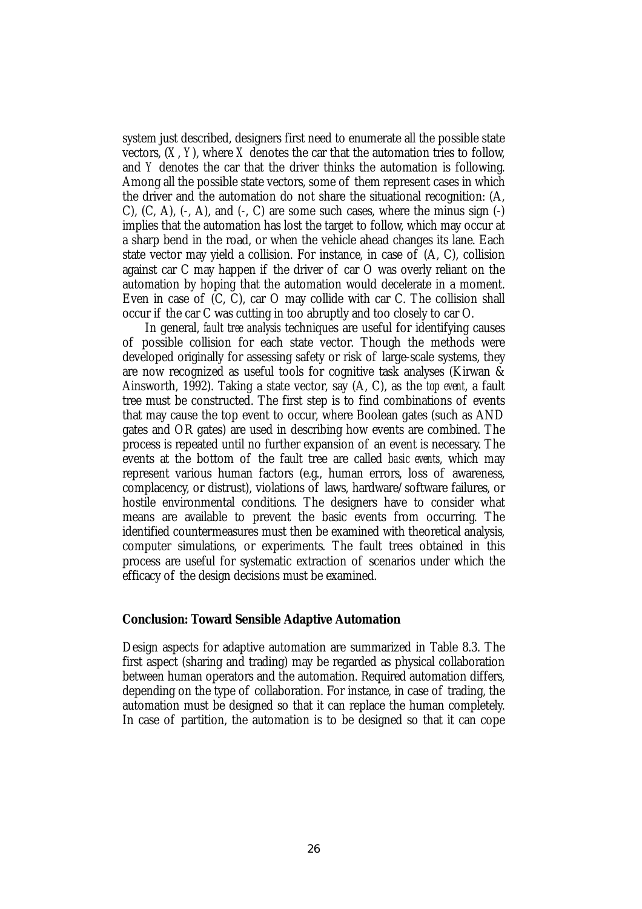system just described, designers first need to enumerate all the possible state vectors, (*X*, *Y*), where *X* denotes the car that the automation tries to follow, and *Y* denotes the car that the driver thinks the automation is following. Among all the possible state vectors, some of them represent cases in which the driver and the automation do not share the situational recognition: (A, C),  $(C, A)$ ,  $(-, A)$ , and  $(-, C)$  are some such cases, where the minus sign  $(-)$ implies that the automation has lost the target to follow, which may occur at a sharp bend in the road, or when the vehicle ahead changes its lane. Each state vector may yield a collision. For instance, in case of (A, C), collision against car C may happen if the driver of car O was overly reliant on the automation by hoping that the automation would decelerate in a moment. Even in case of (C, C), car O may collide with car C. The collision shall occur if the car C was cutting in too abruptly and too closely to car O.

In general, *fault tree analysis* techniques are useful for identifying causes of possible collision for each state vector. Though the methods were developed originally for assessing safety or risk of large-scale systems, they are now recognized as useful tools for cognitive task analyses (Kirwan & Ainsworth, 1992). Taking a state vector, say (A, C), as the *top event*, a fault tree must be constructed. The first step is to find combinations of events that may cause the top event to occur, where Boolean gates (such as AND gates and OR gates) are used in describing how events are combined. The process is repeated until no further expansion of an event is necessary. The events at the bottom of the fault tree are called *basic events*, which may represent various human factors (e.g., human errors, loss of awareness, complacency, or distrust), violations of laws, hardware/software failures, or hostile environmental conditions. The designers have to consider what means are available to prevent the basic events from occurring. The identified countermeasures must then be examined with theoretical analysis, computer simulations, or experiments. The fault trees obtained in this process are useful for systematic extraction of scenarios under which the efficacy of the design decisions must be examined.

#### **Conclusion: Toward Sensible Adaptive Automation**

Design aspects for adaptive automation are summarized in Table 8.3. The first aspect (sharing and trading) may be regarded as physical collaboration between human operators and the automation. Required automation differs, depending on the type of collaboration. For instance, in case of trading, the automation must be designed so that it can replace the human completely. In case of partition, the automation is to be designed so that it can cope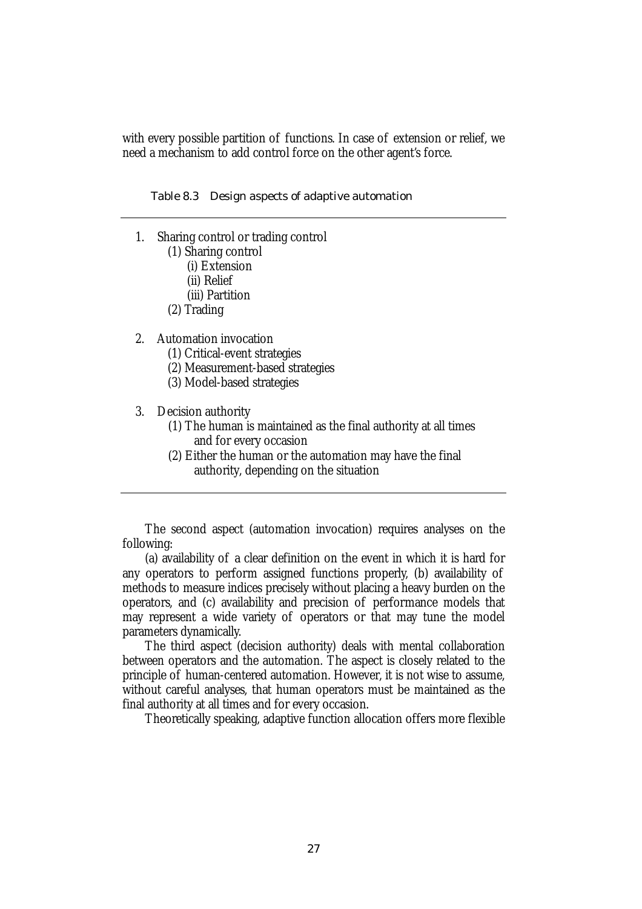with every possible partition of functions. In case of extension or relief, we need a mechanism to add control force on the other agent's force.

Table 8.3 Design aspects of adaptive automation

- 1. Sharing control or trading control
	- (1) Sharing control
		- (i) Extension
		- (ii) Relief
		- (iii) Partition
	- (2) Trading

2. Automation invocation

- (1) Critical-event strategies
- (2) Measurement-based strategies
- (3) Model-based strategies

## 3. Decision authority

- (1) The human is maintained as the final authority at all times and for every occasion
- (2) Either the human or the automation may have the final authority, depending on the situation

The second aspect (automation invocation) requires analyses on the following:

(a) availability of a clear definition on the event in which it is hard for any operators to perform assigned functions properly, (b) availability of methods to measure indices precisely without placing a heavy burden on the operators, and (c) availability and precision of performance models that may represent a wide variety of operators or that may tune the model parameters dynamically.

The third aspect (decision authority) deals with mental collaboration between operators and the automation. The aspect is closely related to the principle of human-centered automation. However, it is not wise to assume, without careful analyses, that human operators must be maintained as the final authority at all times and for every occasion.

Theoretically speaking, adaptive function allocation offers more flexible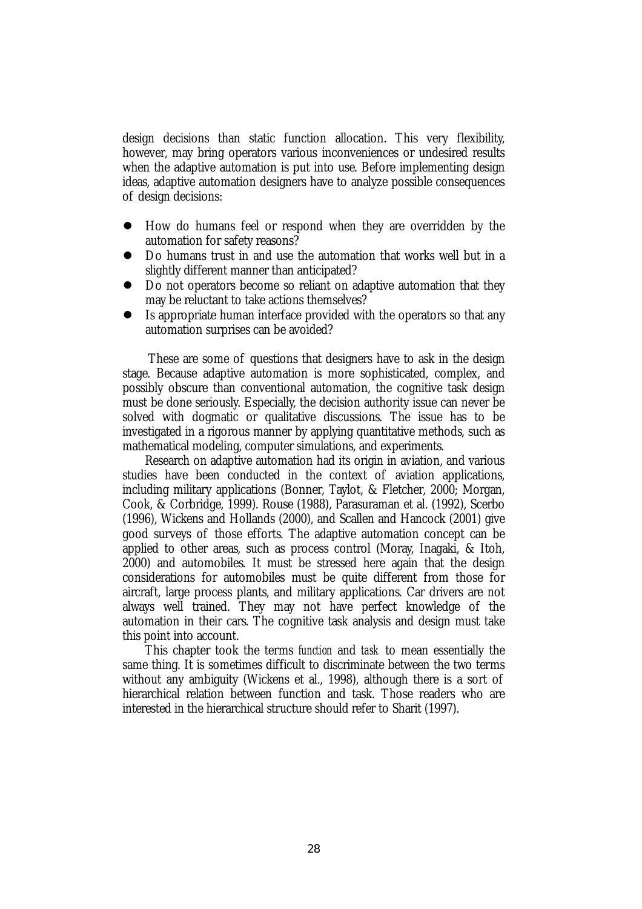design decisions than static function allocation. This very flexibility, however, may bring operators various inconveniences or undesired results when the adaptive automation is put into use. Before implementing design ideas, adaptive automation designers have to analyze possible consequences of design decisions:

- How do humans feel or respond when they are overridden by the automation for safety reasons?
- Do humans trust in and use the automation that works well but in a slightly different manner than anticipated?
- Do not operators become so reliant on adaptive automation that they may be reluctant to take actions themselves?
- $\bullet$  Is appropriate human interface provided with the operators so that any automation surprises can be avoided?

These are some of questions that designers have to ask in the design stage. Because adaptive automation is more sophisticated, complex, and possibly obscure than conventional automation, the cognitive task design must be done seriously. Especially, the decision authority issue can never be solved with dogmatic or qualitative discussions. The issue has to be investigated in a rigorous manner by applying quantitative methods, such as mathematical modeling, computer simulations, and experiments.

Research on adaptive automation had its origin in aviation, and various studies have been conducted in the context of aviation applications, including military applications (Bonner, Taylot, & Fletcher, 2000; Morgan, Cook, & Corbridge, 1999). Rouse (1988), Parasuraman et al. (1992), Scerbo (1996), Wickens and Hollands (2000), and Scallen and Hancock (2001) give good surveys of those efforts. The adaptive automation concept can be applied to other areas, such as process control (Moray, Inagaki, & Itoh, 2000) and automobiles. It must be stressed here again that the design considerations for automobiles must be quite different from those for aircraft, large process plants, and military applications. Car drivers are not always well trained. They may not have perfect knowledge of the automation in their cars. The cognitive task analysis and design must take this point into account.

This chapter took the terms *function* and *task* to mean essentially the same thing. It is sometimes difficult to discriminate between the two terms without any ambiguity (Wickens et al., 1998), although there is a sort of hierarchical relation between function and task. Those readers who are interested in the hierarchical structure should refer to Sharit (1997).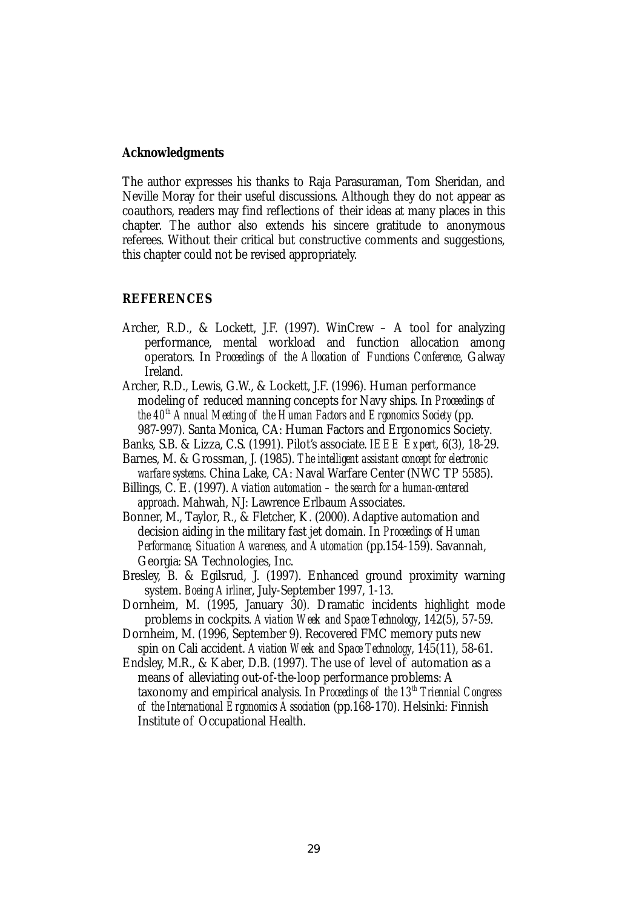# **Acknowledgments**

The author expresses his thanks to Raja Parasuraman, Tom Sheridan, and Neville Moray for their useful discussions. Although they do not appear as coauthors, readers may find reflections of their ideas at many places in this chapter. The author also extends his sincere gratitude to anonymous referees. Without their critical but constructive comments and suggestions, this chapter could not be revised appropriately.

## **REFERENCES**

- Archer, R.D., & Lockett, J.F. (1997). WinCrew A tool for analyzing performance, mental workload and function allocation among operators. In *Proceedings of the Allocation of Functions Conference*, Galway Ireland.
- Archer, R.D., Lewis, G.W., & Lockett, J.F. (1996). Human performance modeling of reduced manning concepts for Navy ships. In *Proceedings of the 40<sup>th</sup> Annual Meeting of the Human Factors and Ergonomics Society* (pp. 987-997). Santa Monica, CA: Human Factors and Ergonomics Society.
- Banks, S.B. & Lizza, C.S. (1991). Pilot's associate. *IEEE Expert*, 6(3), 18-29.
- Barnes, M. & Grossman, J. (1985). *The intelligent assistant concept for electronic warfare systems*. China Lake, CA: Naval Warfare Center (NWC TP 5585).
- Billings, C. E. (1997). *Aviation automation the search for a human-centered approach*. Mahwah, NJ: Lawrence Erlbaum Associates.
- Bonner, M., Taylor, R., & Fletcher, K. (2000). Adaptive automation and decision aiding in the military fast jet domain. In *Proceedings of Human Performance, Situation Awareness, and Automation* (pp.154-159). Savannah, Georgia: SA Technologies, Inc.
- Bresley, B. & Egilsrud, J. (1997). Enhanced ground proximity warning system. *Boeing Airliner*, July-September 1997, 1-13.
- Dornheim, M. (1995, January 30). Dramatic incidents highlight mode problems in cockpits. *Aviation Week and Space Technology*, 142(5), 57-59.
- Dornheim, M. (1996, September 9). Recovered FMC memory puts new spin on Cali accident. *Aviation Week and Space Technology*, 145(11), 58-61.
- Endsley, M.R., & Kaber, D.B. (1997). The use of level of automation as a means of alleviating out-of-the-loop performance problems: A taxonomy and empirical analysis. In *Proceedings of the 13th Triennial Congress of the International Ergonomics Association* (pp.168-170). Helsinki: Finnish Institute of Occupational Health.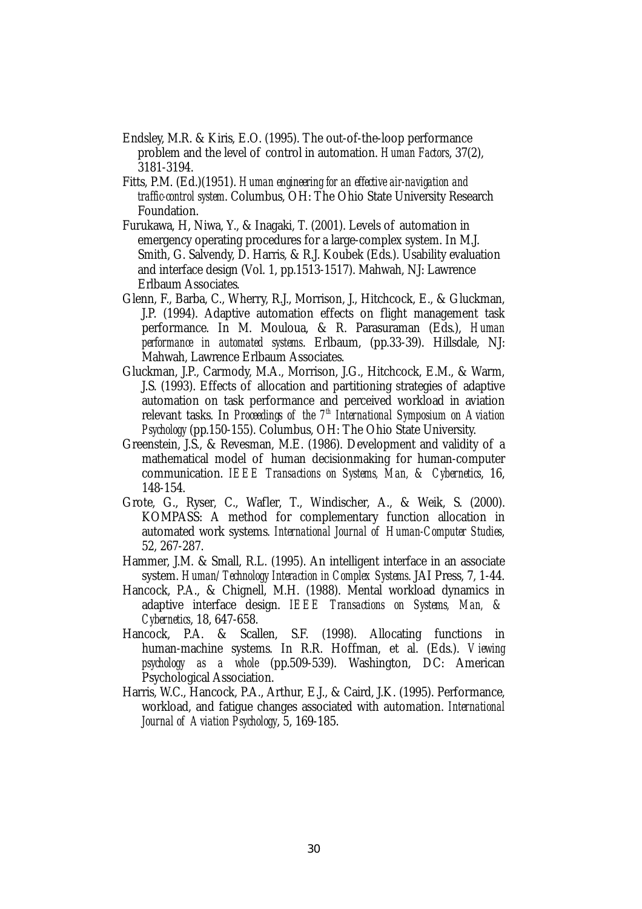- Endsley, M.R. & Kiris, E.O. (1995). The out-of-the-loop performance problem and the level of control in automation. *Human Factors*, 37(2), 3181-3194.
- Fitts, P.M. (Ed.)(1951). *Human engineering for an effective air-navigation and traffic-control system*. Columbus, OH: The Ohio State University Research Foundation.
- Furukawa, H, Niwa, Y., & Inagaki, T. (2001). Levels of automation in emergency operating procedures for a large-complex system. In M.J. Smith, G. Salvendy, D. Harris, & R.J. Koubek (Eds.). Usability evaluation and interface design (Vol. 1, pp.1513-1517). Mahwah, NJ: Lawrence Erlbaum Associates.
- Glenn, F., Barba, C., Wherry, R.J., Morrison, J., Hitchcock, E., & Gluckman, J.P. (1994). Adaptive automation effects on flight management task performance. In M. Mouloua, & R. Parasuraman (Eds.), *Human performance in automated systems*. Erlbaum, (pp.33-39). Hillsdale, NJ: Mahwah, Lawrence Erlbaum Associates.
- Gluckman, J.P., Carmody, M.A., Morrison, J.G., Hitchcock, E.M., & Warm, J.S. (1993). Effects of allocation and partitioning strategies of adaptive automation on task performance and perceived workload in aviation relevant tasks. In *Proceedings of the*  $7<sup>th</sup>$  *International Symposium on Aviation Psychology* (pp.150-155). Columbus, OH: The Ohio State University.
- Greenstein, J.S., & Revesman, M.E. (1986). Development and validity of a mathematical model of human decisionmaking for human-computer communication. *IEEE Transactions on Systems, Man, & Cybernetics*, 16, 148-154.
- Grote, G., Ryser, C., Wafler, T., Windischer, A., & Weik, S. (2000). KOMPASS: A method for complementary function allocation in automated work systems. *International Journal of Human-Computer Studies*, 52, 267-287.
- Hammer, J.M. & Small, R.L. (1995). An intelligent interface in an associate system. *Human/Technology Interaction in Complex Systems*. JAI Press, 7, 1-44.
- Hancock, P.A., & Chignell, M.H. (1988). Mental workload dynamics in adaptive interface design. *IEEE Transactions on Systems, Man, & Cybernetics*, 18, 647-658.
- Hancock, P.A. & Scallen, S.F. (1998). Allocating functions in human-machine systems. In R.R. Hoffman, et al. (Eds.). *Viewing psychology as a whole* (pp.509-539). Washington, DC: American Psychological Association.
- Harris, W.C., Hancock, P.A., Arthur, E.J., & Caird, J.K. (1995). Performance, workload, and fatigue changes associated with automation. *International Journal of Aviation Psychology*, 5, 169-185.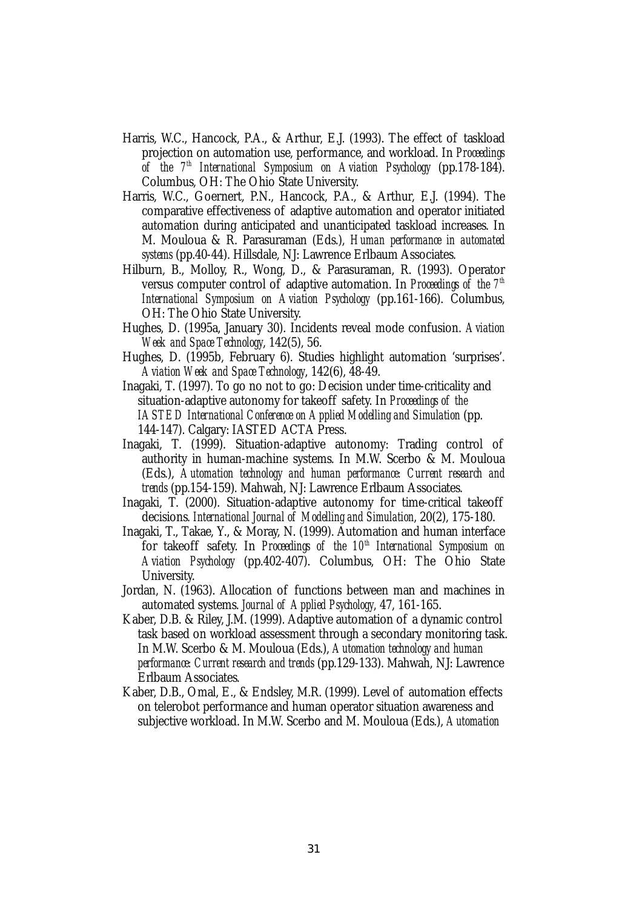- Harris, W.C., Hancock, P.A., & Arthur, E.J. (1993). The effect of taskload projection on automation use, performance, and workload. In *Proceedings of the 7th International Symposium on Aviation Psychology* (pp.178-184). Columbus, OH: The Ohio State University.
- Harris, W.C., Goernert, P.N., Hancock, P.A., & Arthur, E.J. (1994). The comparative effectiveness of adaptive automation and operator initiated automation during anticipated and unanticipated taskload increases. In M. Mouloua & R. Parasuraman (Eds.), *Human performance in automated systems* (pp.40-44). Hillsdale, NJ: Lawrence Erlbaum Associates.
- Hilburn, B., Molloy, R., Wong, D., & Parasuraman, R. (1993). Operator versus computer control of adaptive automation. In *Proceedings of the 7th International Symposium on Aviation Psychology* (pp.161-166). Columbus, OH: The Ohio State University.
- Hughes, D. (1995a, January 30). Incidents reveal mode confusion. *Aviation Week and Space Technology*, 142(5), 56.
- Hughes, D. (1995b, February 6). Studies highlight automation 'surprises'. *Aviation Week and Space Technology*, 142(6), 48-49.
- Inagaki, T. (1997). To go no not to go: Decision under time-criticality and situation-adaptive autonomy for takeoff safety. In *Proceedings of the IASTED International Conference on Applied Modelling and Simulation* (pp. 144-147). Calgary: IASTED ACTA Press.
- Inagaki, T. (1999). Situation-adaptive autonomy: Trading control of authority in human-machine systems. In M.W. Scerbo & M. Mouloua (Eds.), *Automation technology and human performance: Current research and trends* (pp.154-159). Mahwah, NJ: Lawrence Erlbaum Associates.
- Inagaki, T. (2000). Situation-adaptive autonomy for time-critical takeoff decisions. *International Journal of Modelling and Simulation*, 20(2), 175-180.
- Inagaki, T., Takae, Y., & Moray, N. (1999). Automation and human interface for takeoff safety. In *Proceedings of the 10<sup>th</sup> International Symposium on Aviation Psychology* (pp.402-407). Columbus, OH: The Ohio State University.
- Jordan, N. (1963). Allocation of functions between man and machines in automated systems. *Journal of Applied Psychology*, 47, 161-165.
- Kaber, D.B. & Riley, J.M. (1999). Adaptive automation of a dynamic control task based on workload assessment through a secondary monitoring task. In M.W. Scerbo & M. Mouloua (Eds.), *Automation technology and human performance: Current research and trends* (pp.129-133). Mahwah, NJ: Lawrence Erlbaum Associates.
- Kaber, D.B., Omal, E., & Endsley, M.R. (1999). Level of automation effects on telerobot performance and human operator situation awareness and subjective workload. In M.W. Scerbo and M. Mouloua (Eds.), *Automation*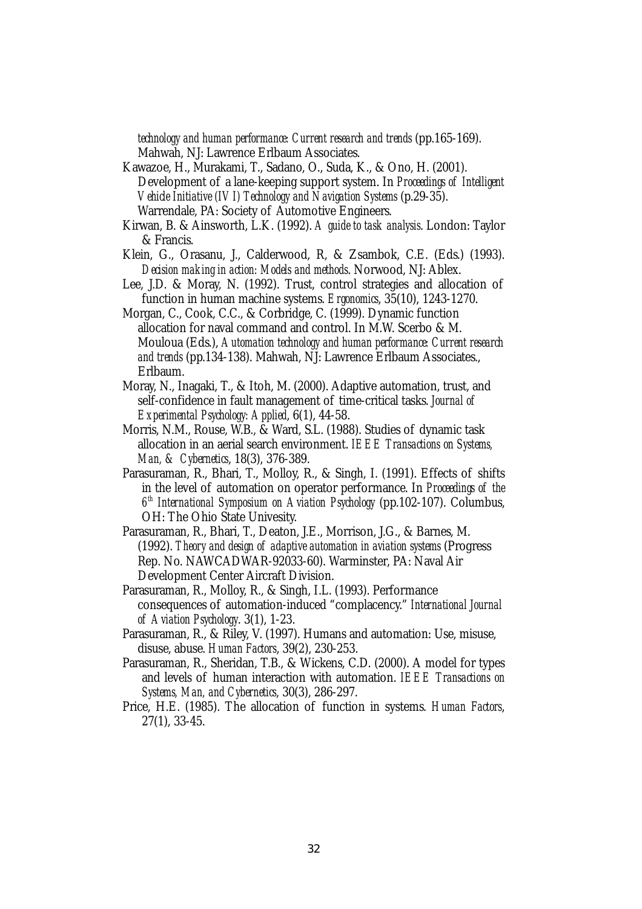*technology and human performance: Current research and trends* (pp.165-169). Mahwah, NJ: Lawrence Erlbaum Associates.

Kawazoe, H., Murakami, T., Sadano, O., Suda, K., & Ono, H. (2001). Development of a lane-keeping support system. In *Proceedings of Intelligent Vehicle Initiative (IVI) Technology and Navigation Systems* (p.29-35). Warrendale, PA: Society of Automotive Engineers.

- Kirwan, B. & Ainsworth, L.K. (1992). *A guide to task analysis*. London: Taylor & Francis.
- Klein, G., Orasanu, J., Calderwood, R, & Zsambok, C.E. (Eds.) (1993). *Decision making in action: Models and methods*. Norwood, NJ: Ablex.
- Lee, J.D. & Moray, N. (1992). Trust, control strategies and allocation of function in human machine systems. *Ergonomics*, 35(10), 1243-1270.
- Morgan, C., Cook, C.C., & Corbridge, C. (1999). Dynamic function allocation for naval command and control. In M.W. Scerbo & M. Mouloua (Eds.), *Automation technology and human performance: Current research and trends* (pp.134-138). Mahwah, NJ: Lawrence Erlbaum Associates., Erlbaum.
- Moray, N., Inagaki, T., & Itoh, M. (2000). Adaptive automation, trust, and self-confidence in fault management of time-critical tasks. *Journal of Experimental Psychology: Applied*, 6(1), 44-58.
- Morris, N.M., Rouse, W.B., & Ward, S.L. (1988). Studies of dynamic task allocation in an aerial search environment. *IEEE Transactions on Systems, Man, & Cybernetics*, 18(3), 376-389.
- Parasuraman, R., Bhari, T., Molloy, R., & Singh, I. (1991). Effects of shifts in the level of automation on operator performance. In *Proceedings of the 6th International Symposium on Aviation Psychology* (pp.102-107). Columbus, OH: The Ohio State Univesity.
- Parasuraman, R., Bhari, T., Deaton, J.E., Morrison, J.G., & Barnes, M. (1992). *Theory and design of adaptive automation in aviation systems* (Progress Rep. No. NAWCADWAR-92033-60). Warminster, PA: Naval Air Development Center Aircraft Division.
- Parasuraman, R., Molloy, R., & Singh, I.L. (1993). Performance consequences of automation-induced "complacency." *International Journal of Aviation Psychology*. 3(1), 1-23.
- Parasuraman, R., & Riley, V. (1997). Humans and automation: Use, misuse, disuse, abuse. *Human Factors*, 39(2), 230-253.
- Parasuraman, R., Sheridan, T.B., & Wickens, C.D. (2000). A model for types and levels of human interaction with automation. *IEEE Transactions on Systems, Man, and Cybernetics*, 30(3), 286-297.
- Price, H.E. (1985). The allocation of function in systems. *Human Factors*, 27(1), 33-45.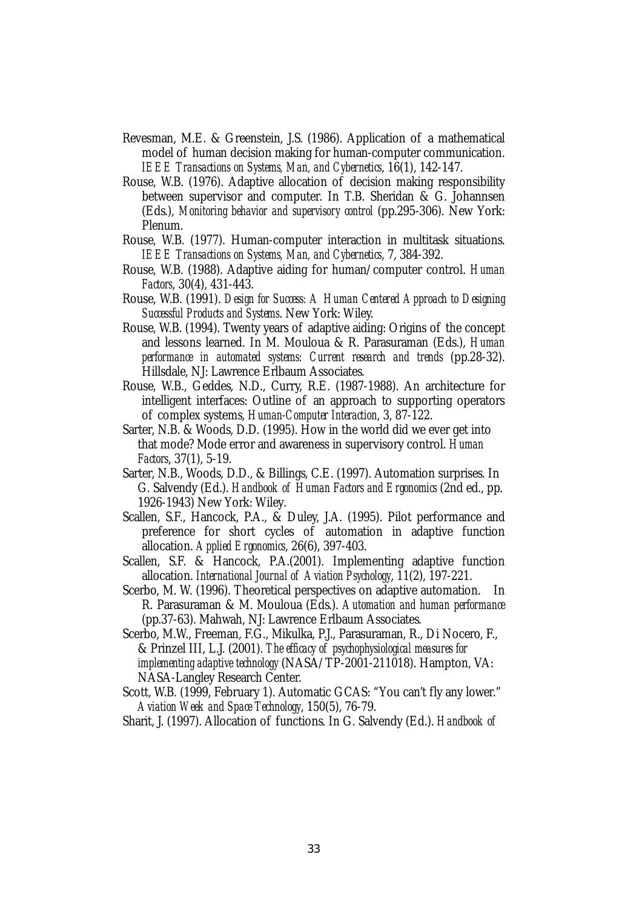- Revesman, M.E. & Greenstein, J.S. (1986). Application of a mathematical model of human decision making for human-computer communication. *IEEE Transactions on Systems, Man, and Cybernetics*, 16(1), 142-147.
- Rouse, W.B. (1976). Adaptive allocation of decision making responsibility between supervisor and computer. In T.B. Sheridan & G. Johannsen (Eds.), *Monitoring behavior and supervisory control* (pp.295-306). New York: Plenum.
- Rouse, W.B. (1977). Human-computer interaction in multitask situations. *IEEE Transactions on Systems, Man, and Cybernetics*, 7, 384-392.
- Rouse, W.B. (1988). Adaptive aiding for human/computer control. *Human Factors*, 30(4), 431-443.
- Rouse, W.B. (1991). *Design for Success: A Human Centered Approach to Designing Successful Products and Systems*. New York: Wiley.
- Rouse, W.B. (1994). Twenty years of adaptive aiding: Origins of the concept and lessons learned. In M. Mouloua & R. Parasuraman (Eds.), *Human performance in automated systems: Current research and trends* (pp.28-32). Hillsdale, NJ: Lawrence Erlbaum Associates.
- Rouse, W.B., Geddes, N.D., Curry, R.E. (1987-1988). An architecture for intelligent interfaces: Outline of an approach to supporting operators of complex systems, *Human-Computer Interaction*, 3, 87-122.
- Sarter, N.B. & Woods, D.D. (1995). How in the world did we ever get into that mode? Mode error and awareness in supervisory control. *Human Factors*, 37(1), 5-19.
- Sarter, N.B., Woods, D.D., & Billings, C.E. (1997). Automation surprises. In G. Salvendy (Ed.). *Handbook of Human Factors and Ergonomics* (2nd ed., pp. 1926-1943) New York: Wiley.
- Scallen, S.F., Hancock, P.A., & Duley, J.A. (1995). Pilot performance and preference for short cycles of automation in adaptive function allocation. *Applied Ergonomics*, 26(6), 397-403.
- Scallen, S.F. & Hancock, P.A.(2001). Implementing adaptive function allocation. *International Journal of Aviation Psychology*, 11(2), 197-221.
- Scerbo, M. W. (1996). Theoretical perspectives on adaptive automation. In R. Parasuraman & M. Mouloua (Eds.). *Automation and human performance* (pp.37-63). Mahwah, NJ: Lawrence Erlbaum Associates.
- Scerbo, M.W., Freeman, F.G., Mikulka, P.J., Parasuraman, R., Di Nocero, F., & Prinzel III, L.J. (2001). *The efficacy of psychophysiological measures for implementing adaptive technology* (NASA/TP-2001-211018). Hampton, VA: NASA-Langley Research Center.
- Scott, W.B. (1999, February 1). Automatic GCAS: "You can't fly any lower." *Aviation Week and Space Technology*, 150(5), 76-79.

Sharit, J. (1997). Allocation of functions. In G. Salvendy (Ed.). *Handbook of*